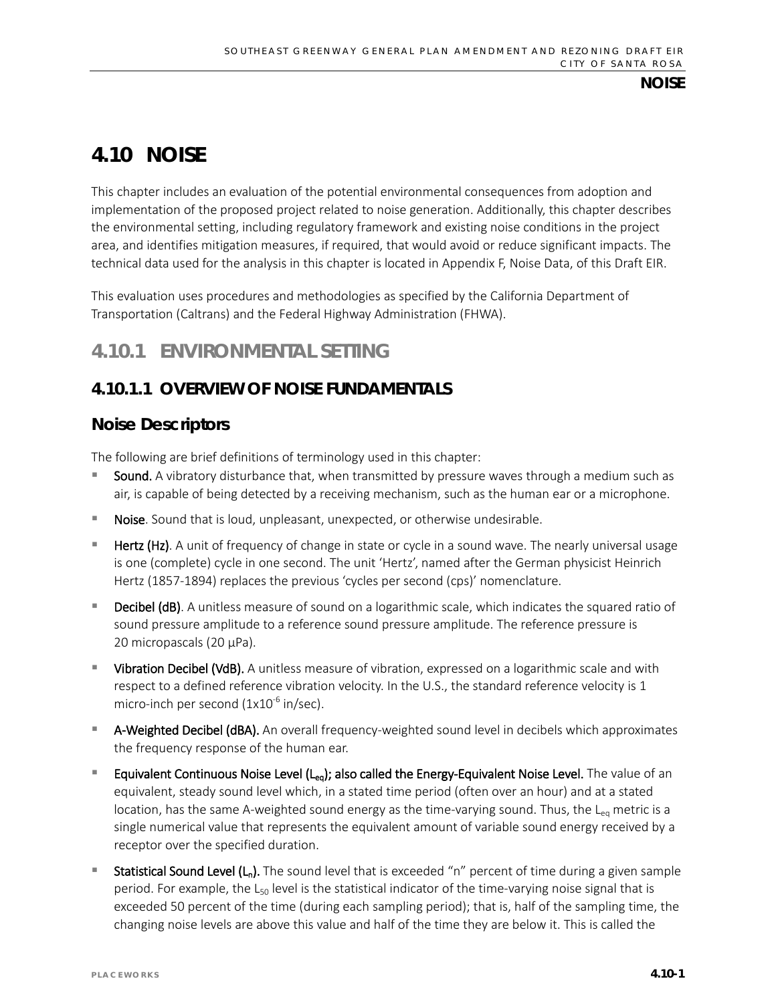# **4.10 NOISE**

This chapter includes an evaluation of the potential environmental consequences from adoption and implementation of the proposed project related to noise generation. Additionally, this chapter describes the environmental setting, including regulatory framework and existing noise conditions in the project area, and identifies mitigation measures, if required, that would avoid or reduce significant impacts. The technical data used for the analysis in this chapter is located in Appendix F, Noise Data, of this Draft EIR.

This evaluation uses procedures and methodologies as specified by the California Department of Transportation (Caltrans) and the Federal Highway Administration (FHWA).

# **4.10.1 ENVIRONMENTAL SETTING**

# **4.10.1.1 OVERVIEW OF NOISE FUNDAMENTALS**

## **Noise Descriptors**

The following are brief definitions of terminology used in this chapter:

- Sound. A vibratory disturbance that, when transmitted by pressure waves through a medium such as air, is capable of being detected by a receiving mechanism, such as the human ear or a microphone.
- Noise. Sound that is loud, unpleasant, unexpected, or otherwise undesirable.
- Hertz (Hz). A unit of frequency of change in state or cycle in a sound wave. The nearly universal usage is one (complete) cycle in one second. The unit 'Hertz', named after the German physicist Heinrich Hertz (1857-1894) replaces the previous 'cycles per second (cps)' nomenclature.
- Decibel (dB). A unitless measure of sound on a logarithmic scale, which indicates the squared ratio of sound pressure amplitude to a reference sound pressure amplitude. The reference pressure is 20 micropascals (20 µPa).
- Vibration Decibel (VdB). A unitless measure of vibration, expressed on a logarithmic scale and with respect to a defined reference vibration velocity. In the U.S., the standard reference velocity is 1 micro-inch per second  $(1x10^{-6}$  in/sec).
- A-Weighted Decibel (dBA). An overall frequency-weighted sound level in decibels which approximates the frequency response of the human ear.
- Equivalent Continuous Noise Level  $(L_{eq})$ ; also called the Energy-Equivalent Noise Level. The value of an equivalent, steady sound level which, in a stated time period (often over an hour) and at a stated location, has the same A-weighted sound energy as the time-varying sound. Thus, the  $L_{eq}$  metric is a single numerical value that represents the equivalent amount of variable sound energy received by a receptor over the specified duration.
- **Statistical Sound Level (L<sub>n</sub>).** The sound level that is exceeded "n" percent of time during a given sample period. For example, the  $L_{50}$  level is the statistical indicator of the time-varying noise signal that is exceeded 50 percent of the time (during each sampling period); that is, half of the sampling time, the changing noise levels are above this value and half of the time they are below it. This is called the

**NOISE**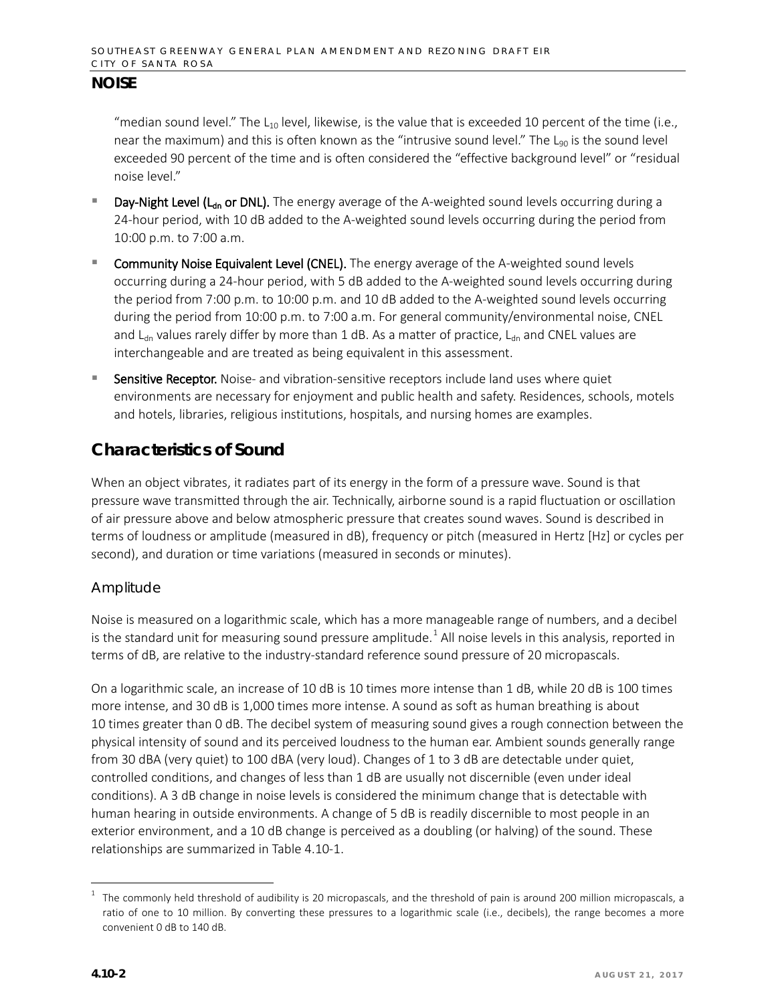"median sound level." The  $L_{10}$  level, likewise, is the value that is exceeded 10 percent of the time (i.e., near the maximum) and this is often known as the "intrusive sound level." The  $L_{90}$  is the sound level exceeded 90 percent of the time and is often considered the "effective background level" or "residual noise level."

- Day-Night Level (L<sub>dn</sub> or DNL). The energy average of the A-weighted sound levels occurring during a 24-hour period, with 10 dB added to the A-weighted sound levels occurring during the period from 10:00 p.m. to 7:00 a.m.
- Community Noise Equivalent Level (CNEL). The energy average of the A-weighted sound levels occurring during a 24-hour period, with 5 dB added to the A-weighted sound levels occurring during the period from 7:00 p.m. to 10:00 p.m. and 10 dB added to the A-weighted sound levels occurring during the period from 10:00 p.m. to 7:00 a.m. For general community/environmental noise, CNEL and  $L_{dn}$  values rarely differ by more than 1 dB. As a matter of practice,  $L_{dn}$  and CNEL values are interchangeable and are treated as being equivalent in this assessment.
- Sensitive Receptor. Noise- and vibration-sensitive receptors include land uses where quiet environments are necessary for enjoyment and public health and safety. Residences, schools, motels and hotels, libraries, religious institutions, hospitals, and nursing homes are examples.

## **Characteristics of Sound**

When an object vibrates, it radiates part of its energy in the form of a pressure wave. Sound is that pressure wave transmitted through the air. Technically, airborne sound is a rapid fluctuation or oscillation of air pressure above and below atmospheric pressure that creates sound waves. Sound is described in terms of loudness or amplitude (measured in dB), frequency or pitch (measured in Hertz [Hz] or cycles per second), and duration or time variations (measured in seconds or minutes).

## *Amplitude*

Noise is measured on a logarithmic scale, which has a more manageable range of numbers, and a decibel is the standard unit for measuring sound pressure amplitude.<sup>[1](#page-1-0)</sup> All noise levels in this analysis, reported in terms of dB, are relative to the industry-standard reference sound pressure of 20 micropascals.

On a logarithmic scale, an increase of 10 dB is 10 times more intense than 1 dB, while 20 dB is 100 times more intense, and 30 dB is 1,000 times more intense. A sound as soft as human breathing is about 10 times greater than 0 dB. The decibel system of measuring sound gives a rough connection between the physical intensity of sound and its perceived loudness to the human ear. Ambient sounds generally range from 30 dBA (very quiet) to 100 dBA (very loud). Changes of 1 to 3 dB are detectable under quiet, controlled conditions, and changes of less than 1 dB are usually not discernible (even under ideal conditions). A 3 dB change in noise levels is considered the minimum change that is detectable with human hearing in outside environments. A change of 5 dB is readily discernible to most people in an exterior environment, and a 10 dB change is perceived as a doubling (or halving) of the sound. These relationships are summarized in Table 4.10-1.

<span id="page-1-0"></span> <sup>1</sup> The commonly held threshold of audibility is 20 micropascals, and the threshold of pain is around 200 million micropascals, a ratio of one to 10 million. By converting these pressures to a logarithmic scale (i.e., decibels), the range becomes a more convenient 0 dB to 140 dB.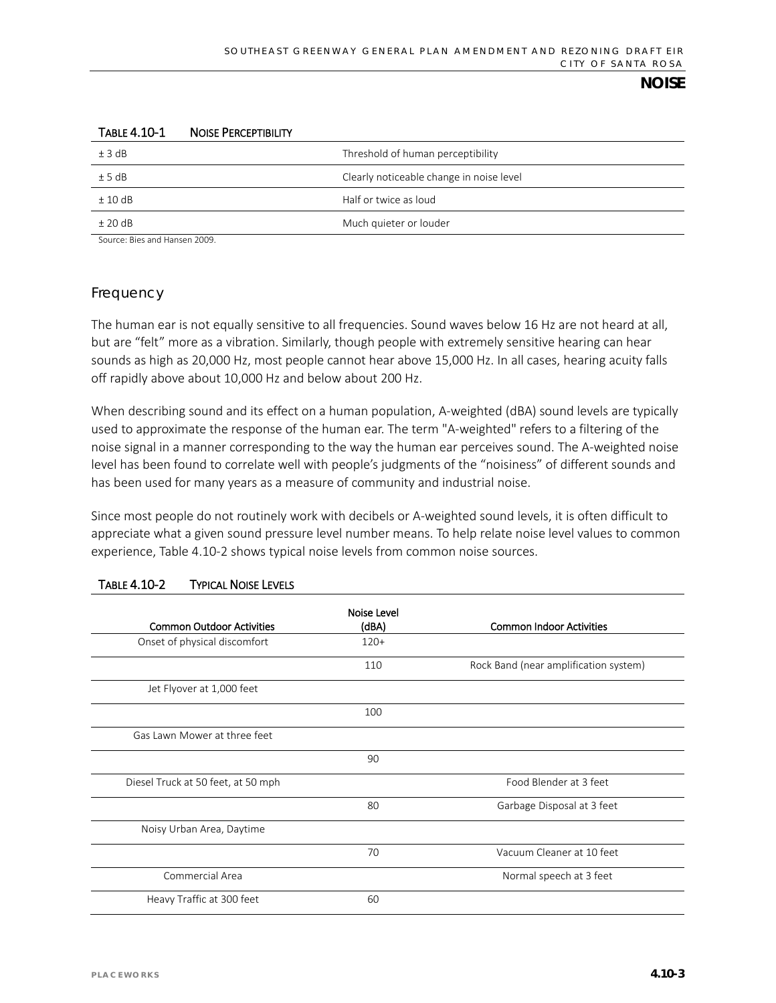| ±3 dB     | Threshold of human perceptibility        |
|-----------|------------------------------------------|
| ± 5 dB    | Clearly noticeable change in noise level |
| ±10dB     | Half or twice as loud                    |
| $±$ 20 dB | Much quieter or louder                   |
|           |                                          |

#### TABLE 4.10-1 NOISE PERCEPTIBILITY

Source: Bies and Hansen 2009.

## *Frequency*

The human ear is not equally sensitive to all frequencies. Sound waves below 16 Hz are not heard at all, but are "felt" more as a vibration. Similarly, though people with extremely sensitive hearing can hear sounds as high as 20,000 Hz, most people cannot hear above 15,000 Hz. In all cases, hearing acuity falls off rapidly above about 10,000 Hz and below about 200 Hz.

When describing sound and its effect on a human population, A-weighted (dBA) sound levels are typically used to approximate the response of the human ear. The term "A-weighted" refers to a filtering of the noise signal in a manner corresponding to the way the human ear perceives sound. The A-weighted noise level has been found to correlate well with people's judgments of the "noisiness" of different sounds and has been used for many years as a measure of community and industrial noise.

Since most people do not routinely work with decibels or A-weighted sound levels, it is often difficult to appreciate what a given sound pressure level number means. To help relate noise level values to common experience, Table 4.10-2 shows typical noise levels from common noise sources.

|                                    | Noise Level |                                       |
|------------------------------------|-------------|---------------------------------------|
| <b>Common Outdoor Activities</b>   | (dBA)       | <b>Common Indoor Activities</b>       |
| Onset of physical discomfort       | $120+$      |                                       |
|                                    | 110         | Rock Band (near amplification system) |
| Jet Flyover at 1,000 feet          |             |                                       |
|                                    | 100         |                                       |
| Gas Lawn Mower at three feet       |             |                                       |
|                                    | 90          |                                       |
| Diesel Truck at 50 feet, at 50 mph |             | Food Blender at 3 feet                |
|                                    | 80          | Garbage Disposal at 3 feet            |
| Noisy Urban Area, Daytime          |             |                                       |
|                                    | 70          | Vacuum Cleaner at 10 feet             |
| Commercial Area                    |             | Normal speech at 3 feet               |
| Heavy Traffic at 300 feet          | 60          |                                       |

### TABLE 4.10-2 TYPICAL NOISE LEVELS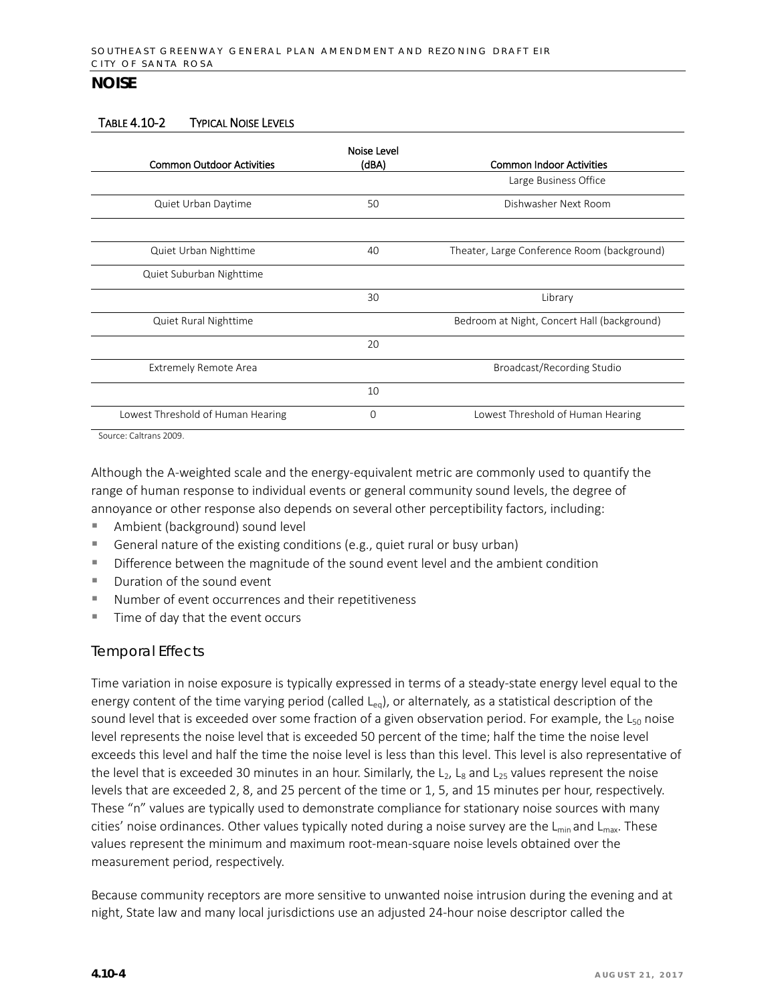#### TABLE 4.10-2 TYPICAL NOISE LEVELS

| <b>Common Outdoor Activities</b>                 | Noise Level<br>(dBA) | <b>Common Indoor Activities</b>             |
|--------------------------------------------------|----------------------|---------------------------------------------|
|                                                  |                      | Large Business Office                       |
| Quiet Urban Daytime                              | 50                   | Dishwasher Next Room                        |
|                                                  |                      |                                             |
| Quiet Urban Nighttime                            | 40                   | Theater, Large Conference Room (background) |
| Quiet Suburban Nighttime                         |                      |                                             |
|                                                  | 30                   | Library                                     |
| Quiet Rural Nighttime                            |                      | Bedroom at Night, Concert Hall (background) |
|                                                  | 20                   |                                             |
| <b>Extremely Remote Area</b>                     |                      | Broadcast/Recording Studio                  |
|                                                  | 10                   |                                             |
| Lowest Threshold of Human Hearing                | 0                    | Lowest Threshold of Human Hearing           |
| $C_{\text{average}}$ $C_{\text{average}}$ $2000$ |                      |                                             |

Source: Caltrans 2009.

Although the A-weighted scale and the energy-equivalent metric are commonly used to quantify the range of human response to individual events or general community sound levels, the degree of annoyance or other response also depends on several other perceptibility factors, including:

- Ambient (background) sound level
- General nature of the existing conditions (e.g., quiet rural or busy urban)
- **Difference between the magnitude of the sound event level and the ambient condition**
- Duration of the sound event
- Number of event occurrences and their repetitiveness
- $\blacksquare$  Time of day that the event occurs

### *Temporal Effects*

Time variation in noise exposure is typically expressed in terms of a steady-state energy level equal to the energy content of the time varying period (called  $L_{eq}$ ), or alternately, as a statistical description of the sound level that is exceeded over some fraction of a given observation period. For example, the  $L_{50}$  noise level represents the noise level that is exceeded 50 percent of the time; half the time the noise level exceeds this level and half the time the noise level is less than this level. This level is also representative of the level that is exceeded 30 minutes in an hour. Similarly, the  $L_2$ ,  $L_8$  and  $L_{25}$  values represent the noise levels that are exceeded 2, 8, and 25 percent of the time or 1, 5, and 15 minutes per hour, respectively. These "n" values are typically used to demonstrate compliance for stationary noise sources with many cities' noise ordinances. Other values typically noted during a noise survey are the  $L_{min}$  and  $L_{max}$ . These values represent the minimum and maximum root-mean-square noise levels obtained over the measurement period, respectively.

Because community receptors are more sensitive to unwanted noise intrusion during the evening and at night, State law and many local jurisdictions use an adjusted 24-hour noise descriptor called the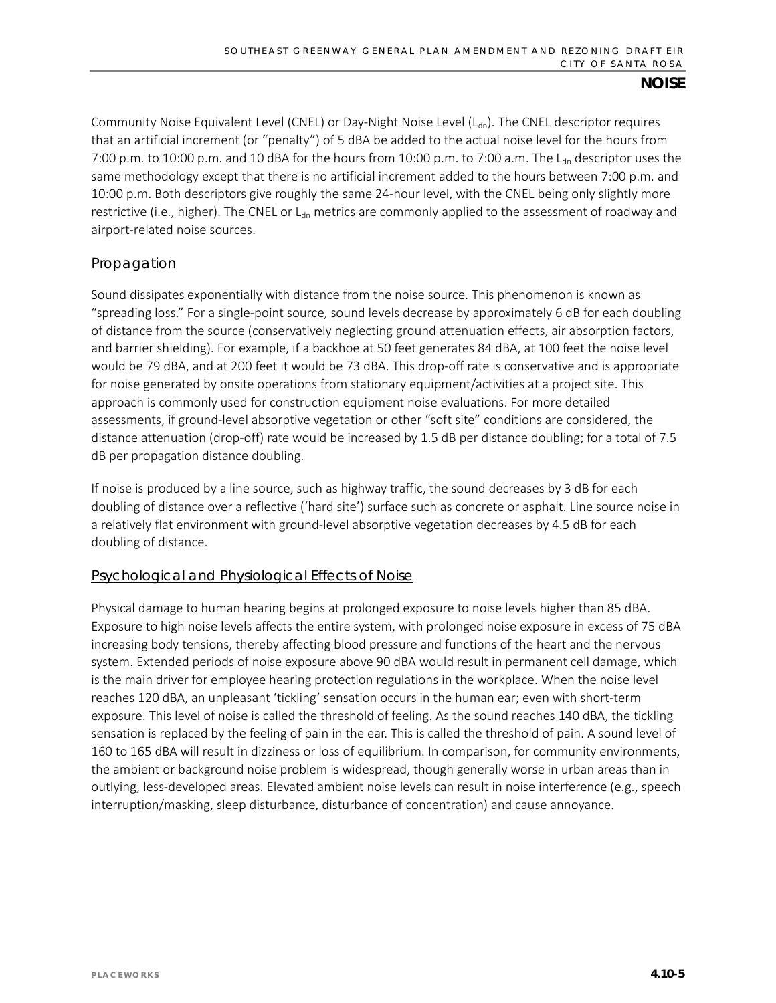Community Noise Equivalent Level (CNEL) or Day-Night Noise Level  $(L_{dn})$ . The CNEL descriptor requires that an artificial increment (or "penalty") of 5 dBA be added to the actual noise level for the hours from 7:00 p.m. to 10:00 p.m. and 10 dBA for the hours from 10:00 p.m. to 7:00 a.m. The  $L_{dn}$  descriptor uses the same methodology except that there is no artificial increment added to the hours between 7:00 p.m. and 10:00 p.m. Both descriptors give roughly the same 24-hour level, with the CNEL being only slightly more restrictive (i.e., higher). The CNEL or  $L_{dn}$  metrics are commonly applied to the assessment of roadway and airport-related noise sources.

## *Propagation*

Sound dissipates exponentially with distance from the noise source. This phenomenon is known as "spreading loss." For a single-point source, sound levels decrease by approximately 6 dB for each doubling of distance from the source (conservatively neglecting ground attenuation effects, air absorption factors, and barrier shielding). For example, if a backhoe at 50 feet generates 84 dBA, at 100 feet the noise level would be 79 dBA, and at 200 feet it would be 73 dBA. This drop-off rate is conservative and is appropriate for noise generated by onsite operations from stationary equipment/activities at a project site. This approach is commonly used for construction equipment noise evaluations. For more detailed assessments, if ground-level absorptive vegetation or other "soft site" conditions are considered, the distance attenuation (drop-off) rate would be increased by 1.5 dB per distance doubling; for a total of 7.5 dB per propagation distance doubling.

If noise is produced by a line source, such as highway traffic, the sound decreases by 3 dB for each doubling of distance over a reflective ('hard site') surface such as concrete or asphalt. Line source noise in a relatively flat environment with ground-level absorptive vegetation decreases by 4.5 dB for each doubling of distance.

### Psychological and Physiological Effects of Noise

Physical damage to human hearing begins at prolonged exposure to noise levels higher than 85 dBA. Exposure to high noise levels affects the entire system, with prolonged noise exposure in excess of 75 dBA increasing body tensions, thereby affecting blood pressure and functions of the heart and the nervous system. Extended periods of noise exposure above 90 dBA would result in permanent cell damage, which is the main driver for employee hearing protection regulations in the workplace. When the noise level reaches 120 dBA, an unpleasant 'tickling' sensation occurs in the human ear; even with short-term exposure. This level of noise is called the threshold of feeling. As the sound reaches 140 dBA, the tickling sensation is replaced by the feeling of pain in the ear. This is called the threshold of pain. A sound level of 160 to 165 dBA will result in dizziness or loss of equilibrium. In comparison, for community environments, the ambient or background noise problem is widespread, though generally worse in urban areas than in outlying, less-developed areas. Elevated ambient noise levels can result in noise interference (e.g., speech interruption/masking, sleep disturbance, disturbance of concentration) and cause annoyance.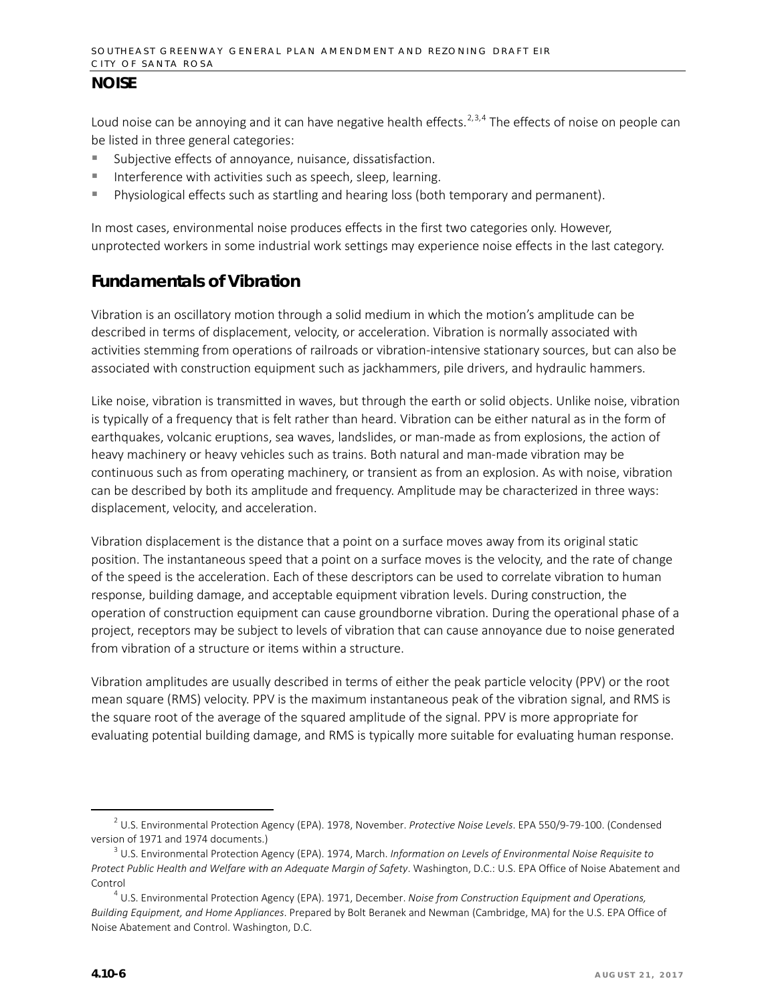Loud noise can be annoying and it can have negative health effects.<sup>[2](#page-5-0),[3,](#page-5-1)[4](#page-5-2)</sup> The effects of noise on people can be listed in three general categories:

- Subjective effects of annoyance, nuisance, dissatisfaction.
- Interference with activities such as speech, sleep, learning.
- Physiological effects such as startling and hearing loss (both temporary and permanent).

In most cases, environmental noise produces effects in the first two categories only. However, unprotected workers in some industrial work settings may experience noise effects in the last category.

# **Fundamentals of Vibration**

Vibration is an oscillatory motion through a solid medium in which the motion's amplitude can be described in terms of displacement, velocity, or acceleration. Vibration is normally associated with activities stemming from operations of railroads or vibration-intensive stationary sources, but can also be associated with construction equipment such as jackhammers, pile drivers, and hydraulic hammers.

Like noise, vibration is transmitted in waves, but through the earth or solid objects. Unlike noise, vibration is typically of a frequency that is felt rather than heard. Vibration can be either natural as in the form of earthquakes, volcanic eruptions, sea waves, landslides, or man-made as from explosions, the action of heavy machinery or heavy vehicles such as trains. Both natural and man-made vibration may be continuous such as from operating machinery, or transient as from an explosion. As with noise, vibration can be described by both its amplitude and frequency. Amplitude may be characterized in three ways: displacement, velocity, and acceleration.

Vibration displacement is the distance that a point on a surface moves away from its original static position. The instantaneous speed that a point on a surface moves is the velocity, and the rate of change of the speed is the acceleration. Each of these descriptors can be used to correlate vibration to human response, building damage, and acceptable equipment vibration levels. During construction, the operation of construction equipment can cause groundborne vibration. During the operational phase of a project, receptors may be subject to levels of vibration that can cause annoyance due to noise generated from vibration of a structure or items within a structure.

Vibration amplitudes are usually described in terms of either the peak particle velocity (PPV) or the root mean square (RMS) velocity. PPV is the maximum instantaneous peak of the vibration signal, and RMS is the square root of the average of the squared amplitude of the signal. PPV is more appropriate for evaluating potential building damage, and RMS is typically more suitable for evaluating human response.

<span id="page-5-0"></span> <sup>2</sup> U.S. Environmental Protection Agency (EPA). 1978, November. *Protective Noise Levels*. EPA 550/9-79-100. (Condensed version of 1971 and 1974 documents.)

<span id="page-5-1"></span><sup>3</sup> U.S. Environmental Protection Agency (EPA). 1974, March. *Information on Levels of Environmental Noise Requisite to Protect Public Health and Welfare with an Adequate Margin of Safety*. Washington, D.C.: U.S. EPA Office of Noise Abatement and Control

<span id="page-5-2"></span><sup>4</sup> U.S. Environmental Protection Agency (EPA). 1971, December. *Noise from Construction Equipment and Operations, Building Equipment, and Home Appliances*. Prepared by Bolt Beranek and Newman (Cambridge, MA) for the U.S. EPA Office of Noise Abatement and Control. Washington, D.C.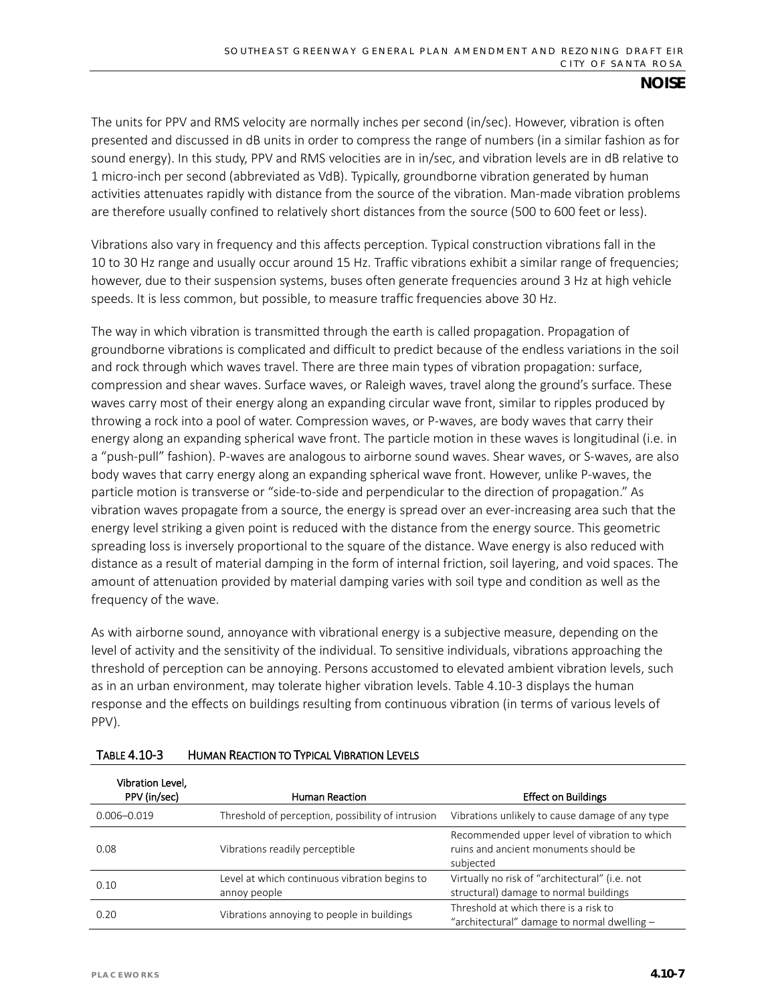The units for PPV and RMS velocity are normally inches per second (in/sec). However, vibration is often presented and discussed in dB units in order to compress the range of numbers (in a similar fashion as for sound energy). In this study, PPV and RMS velocities are in in/sec, and vibration levels are in dB relative to 1 micro-inch per second (abbreviated as VdB). Typically, groundborne vibration generated by human activities attenuates rapidly with distance from the source of the vibration. Man-made vibration problems are therefore usually confined to relatively short distances from the source (500 to 600 feet or less).

Vibrations also vary in frequency and this affects perception. Typical construction vibrations fall in the 10 to 30 Hz range and usually occur around 15 Hz. Traffic vibrations exhibit a similar range of frequencies; however, due to their suspension systems, buses often generate frequencies around 3 Hz at high vehicle speeds. It is less common, but possible, to measure traffic frequencies above 30 Hz.

The way in which vibration is transmitted through the earth is called propagation. Propagation of groundborne vibrations is complicated and difficult to predict because of the endless variations in the soil and rock through which waves travel. There are three main types of vibration propagation: surface, compression and shear waves. Surface waves, or Raleigh waves, travel along the ground's surface. These waves carry most of their energy along an expanding circular wave front, similar to ripples produced by throwing a rock into a pool of water. Compression waves, or P-waves, are body waves that carry their energy along an expanding spherical wave front. The particle motion in these waves is longitudinal (i.e. in a "push-pull" fashion). P-waves are analogous to airborne sound waves. Shear waves, or S-waves, are also body waves that carry energy along an expanding spherical wave front. However, unlike P-waves, the particle motion is transverse or "side-to-side and perpendicular to the direction of propagation." As vibration waves propagate from a source, the energy is spread over an ever-increasing area such that the energy level striking a given point is reduced with the distance from the energy source. This geometric spreading loss is inversely proportional to the square of the distance. Wave energy is also reduced with distance as a result of material damping in the form of internal friction, soil layering, and void spaces. The amount of attenuation provided by material damping varies with soil type and condition as well as the frequency of the wave.

As with airborne sound, annoyance with vibrational energy is a subjective measure, depending on the level of activity and the sensitivity of the individual. To sensitive individuals, vibrations approaching the threshold of perception can be annoying. Persons accustomed to elevated ambient vibration levels, such as in an urban environment, may tolerate higher vibration levels. Table 4.10-3 displays the human response and the effects on buildings resulting from continuous vibration (in terms of various levels of PPV).

| Vibration Level.<br>PPV (in/sec) | <b>Human Reaction</b>                                         | <b>Effect on Buildings</b>                                                                          |
|----------------------------------|---------------------------------------------------------------|-----------------------------------------------------------------------------------------------------|
| $0.006 - 0.019$                  | Threshold of perception, possibility of intrusion             | Vibrations unlikely to cause damage of any type                                                     |
| 0.08                             | Vibrations readily perceptible                                | Recommended upper level of vibration to which<br>ruins and ancient monuments should be<br>subjected |
| 0.10                             | Level at which continuous vibration begins to<br>annoy people | Virtually no risk of "architectural" (i.e. not<br>structural) damage to normal buildings            |
| 0.20                             | Vibrations annoying to people in buildings                    | Threshold at which there is a risk to<br>"architectural" damage to normal dwelling -                |

### TABLE 4.10-3 HUMAN REACTION TO TYPICAL VIBRATION LEVELS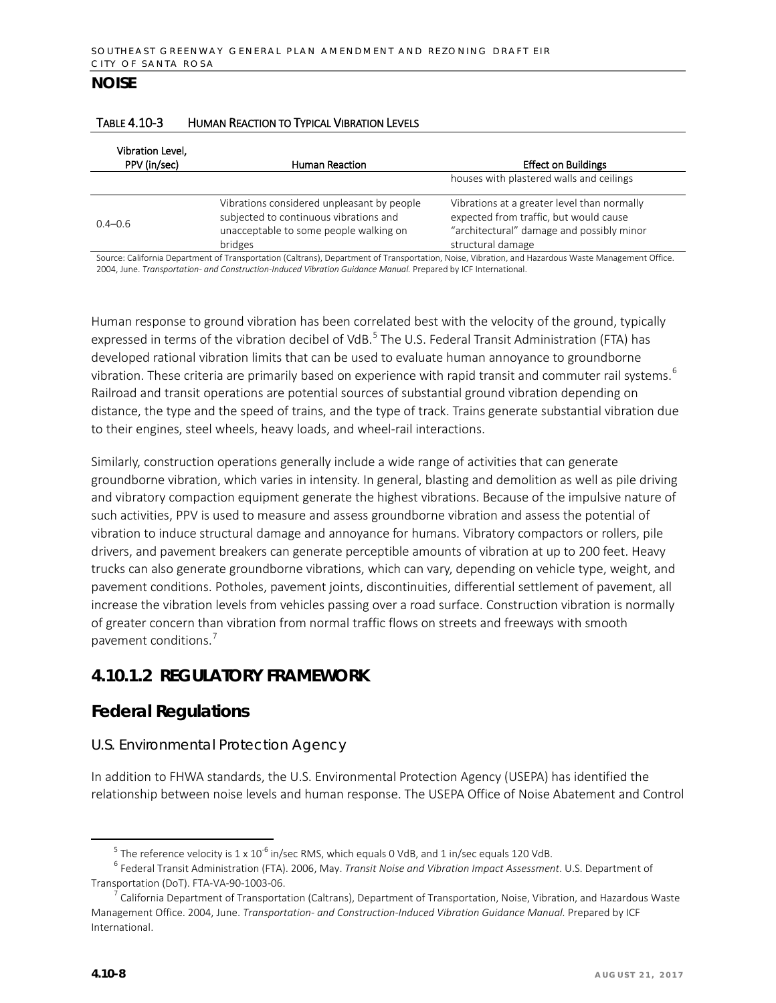| Vibration Level,<br>PPV (in/sec) | Human Reaction                                                                                                                            | <b>Effect on Buildings</b>                                                                                                                              |
|----------------------------------|-------------------------------------------------------------------------------------------------------------------------------------------|---------------------------------------------------------------------------------------------------------------------------------------------------------|
|                                  |                                                                                                                                           | houses with plastered walls and ceilings                                                                                                                |
| $0.4 - 0.6$                      | Vibrations considered unpleasant by people<br>subjected to continuous vibrations and<br>unacceptable to some people walking on<br>bridges | Vibrations at a greater level than normally<br>expected from traffic, but would cause<br>"architectural" damage and possibly minor<br>structural damage |

#### TABLE 4.10-3 HUMAN REACTION TO TYPICAL VIBRATION LEVELS

Source: California Department of Transportation (Caltrans), Department of Transportation, Noise, Vibration, and Hazardous Waste Management Office. 2004, June. *Transportation- and Construction-Induced Vibration Guidance Manual.* Prepared by ICF International.

Human response to ground vibration has been correlated best with the velocity of the ground, typically expressed in terms of the vibration decibel of VdB.<sup>[5](#page-7-0)</sup> The U.S. Federal Transit Administration (FTA) has developed rational vibration limits that can be used to evaluate human annoyance to groundborne vibration. These criteria are primarily based on experience with rapid transit and commuter rail systems.<sup>[6](#page-7-1)</sup> Railroad and transit operations are potential sources of substantial ground vibration depending on distance, the type and the speed of trains, and the type of track. Trains generate substantial vibration due to their engines, steel wheels, heavy loads, and wheel-rail interactions.

Similarly, construction operations generally include a wide range of activities that can generate groundborne vibration, which varies in intensity. In general, blasting and demolition as well as pile driving and vibratory compaction equipment generate the highest vibrations. Because of the impulsive nature of such activities, PPV is used to measure and assess groundborne vibration and assess the potential of vibration to induce structural damage and annoyance for humans. Vibratory compactors or rollers, pile drivers, and pavement breakers can generate perceptible amounts of vibration at up to 200 feet. Heavy trucks can also generate groundborne vibrations, which can vary, depending on vehicle type, weight, and pavement conditions. Potholes, pavement joints, discontinuities, differential settlement of pavement, all increase the vibration levels from vehicles passing over a road surface. Construction vibration is normally of greater concern than vibration from normal traffic flows on streets and freeways with smooth pavement conditions.<sup>[7](#page-7-2)</sup>

# **4.10.1.2 REGULATORY FRAMEWORK**

# **Federal Regulations**

## *U.S. Environmental Protection Agency*

In addition to FHWA standards, the U.S. Environmental Protection Agency (USEPA) has identified the relationship between noise levels and human response. The USEPA Office of Noise Abatement and Control

<span id="page-7-1"></span><span id="page-7-0"></span><sup>&</sup>lt;sup>5</sup> The reference velocity is 1 x 10<sup>-6</sup> in/sec RMS, which equals 0 VdB, and 1 in/sec equals 120 VdB.<br><sup>6</sup> Federal Transit Administration (FTA). 2006, May. *Transit Noise and Vibration Impact Assessment*. U.S. Department of Transportation (DoT). FTA-VA-90-1003-06.

<span id="page-7-2"></span> $^7$  California Department of Transportation (Caltrans), Department of Transportation, Noise, Vibration, and Hazardous Waste Management Office. 2004, June. *Transportation- and Construction-Induced Vibration Guidance Manual.* Prepared by ICF International.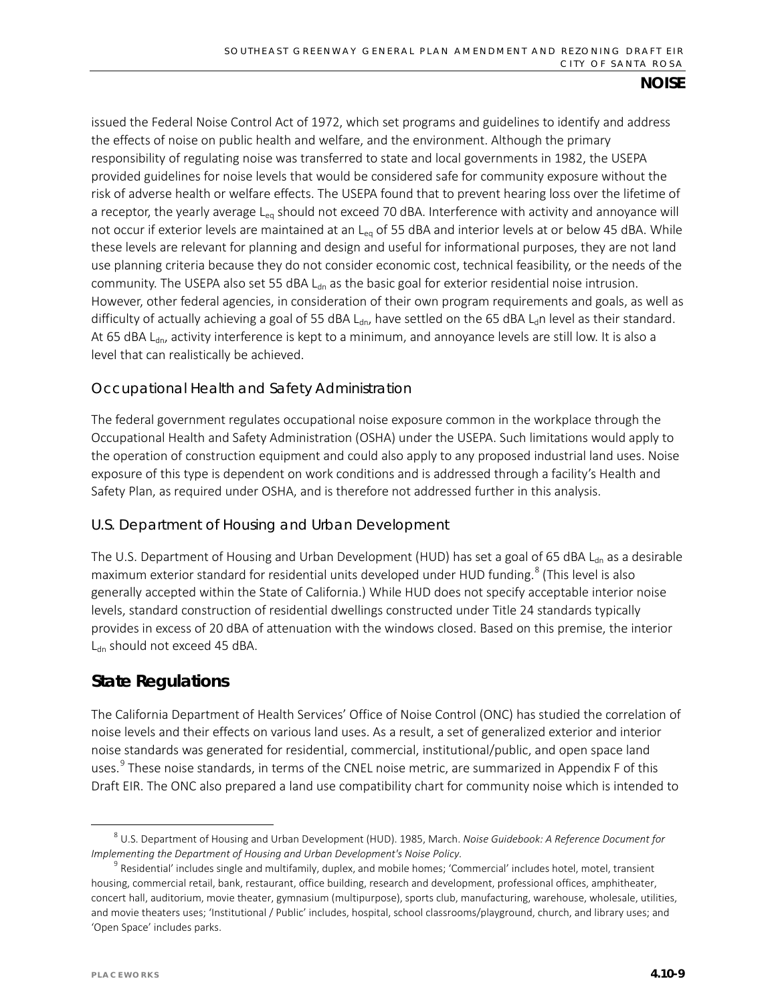issued the Federal Noise Control Act of 1972, which set programs and guidelines to identify and address the effects of noise on public health and welfare, and the environment. Although the primary responsibility of regulating noise was transferred to state and local governments in 1982, the USEPA provided guidelines for noise levels that would be considered safe for community exposure without the risk of adverse health or welfare effects. The USEPA found that to prevent hearing loss over the lifetime of a receptor, the yearly average  $L_{eq}$  should not exceed 70 dBA. Interference with activity and annoyance will not occur if exterior levels are maintained at an L<sub>eq</sub> of 55 dBA and interior levels at or below 45 dBA. While these levels are relevant for planning and design and useful for informational purposes, they are not land use planning criteria because they do not consider economic cost, technical feasibility, or the needs of the community. The USEPA also set 55 dBA  $L_{dn}$  as the basic goal for exterior residential noise intrusion. However, other federal agencies, in consideration of their own program requirements and goals, as well as difficulty of actually achieving a goal of 55 dBA L<sub>dn</sub>, have settled on the 65 dBA L<sub>d</sub>n level as their standard. At 65 dBA L<sub>dn</sub>, activity interference is kept to a minimum, and annoyance levels are still low. It is also a level that can realistically be achieved.

## *Occupational Health and Safety Administration*

The federal government regulates occupational noise exposure common in the workplace through the Occupational Health and Safety Administration (OSHA) under the USEPA. Such limitations would apply to the operation of construction equipment and could also apply to any proposed industrial land uses. Noise exposure of this type is dependent on work conditions and is addressed through a facility's Health and Safety Plan, as required under OSHA, and is therefore not addressed further in this analysis.

## *U.S. Department of Housing and Urban Development*

The U.S. Department of Housing and Urban Development (HUD) has set a goal of 65 dBA L<sub>dn</sub> as a desirable maximum exterior standard for residential units developed under HUD funding.<sup>[8](#page-8-0)</sup> (This level is also generally accepted within the State of California.) While HUD does not specify acceptable interior noise levels, standard construction of residential dwellings constructed under Title 24 standards typically provides in excess of 20 dBA of attenuation with the windows closed. Based on this premise, the interior  $L_{dn}$  should not exceed 45 dBA.

# **State Regulations**

The California Department of Health Services' Office of Noise Control (ONC) has studied the correlation of noise levels and their effects on various land uses. As a result, a set of generalized exterior and interior noise standards was generated for residential, commercial, institutional/public, and open space land uses.<sup>[9](#page-8-1)</sup> These noise standards, in terms of the CNEL noise metric, are summarized in Appendix F of this Draft EIR. The ONC also prepared a land use compatibility chart for community noise which is intended to

<span id="page-8-0"></span> <sup>8</sup> U.S. Department of Housing and Urban Development (HUD). 1985, March. *Noise Guidebook: A Reference Document for Implementing the Department of Housing and Urban Development's Noise Policy.*

<span id="page-8-1"></span><sup>9</sup> Residential' includes single and multifamily, duplex, and mobile homes; 'Commercial' includes hotel, motel, transient housing, commercial retail, bank, restaurant, office building, research and development, professional offices, amphitheater, concert hall, auditorium, movie theater, gymnasium (multipurpose), sports club, manufacturing, warehouse, wholesale, utilities, and movie theaters uses; 'Institutional / Public' includes, hospital, school classrooms/playground, church, and library uses; and 'Open Space' includes parks.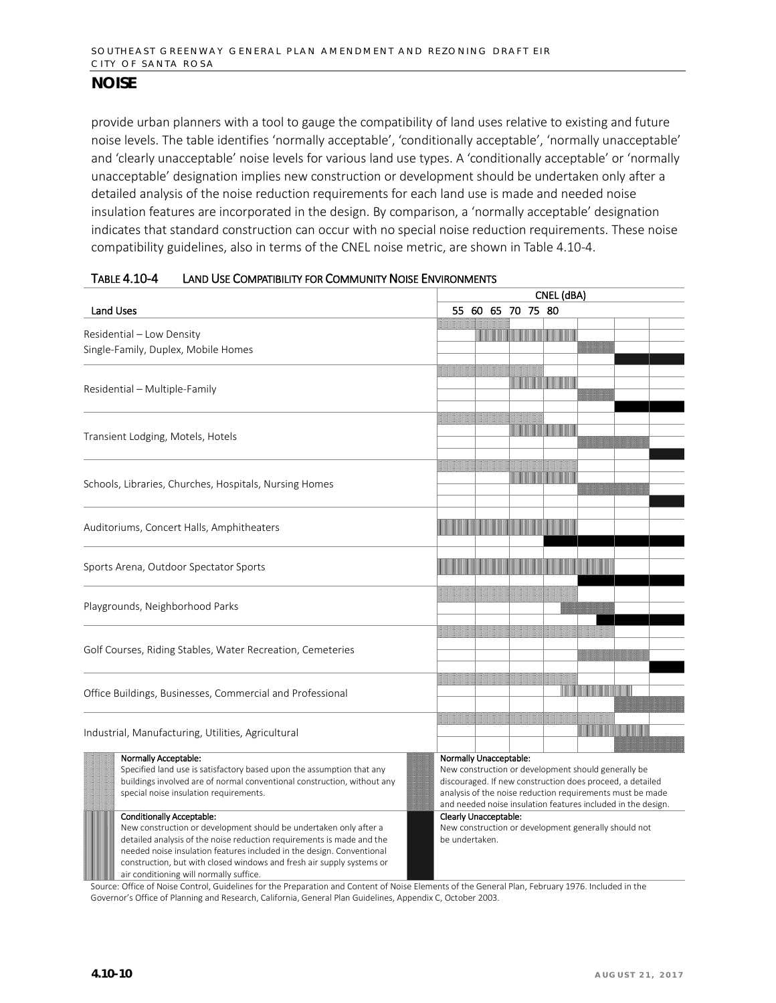provide urban planners with a tool to gauge the compatibility of land uses relative to existing and future noise levels. The table identifies 'normally acceptable', 'conditionally acceptable', 'normally unacceptable' and 'clearly unacceptable' noise levels for various land use types. A 'conditionally acceptable' or 'normally unacceptable' designation implies new construction or development should be undertaken only after a detailed analysis of the noise reduction requirements for each land use is made and needed noise insulation features are incorporated in the design. By comparison, a 'normally acceptable' designation indicates that standard construction can occur with no special noise reduction requirements. These noise compatibility guidelines, also in terms of the CNEL noise metric, are shown in Table 4.10-4.

|                                                                                                                                                                                                                                                                                                                                                                                                                                                                               | CNEL (dBA)                                                                                                                                                                                                                                                                                                                                                                        |  |  |  |  |
|-------------------------------------------------------------------------------------------------------------------------------------------------------------------------------------------------------------------------------------------------------------------------------------------------------------------------------------------------------------------------------------------------------------------------------------------------------------------------------|-----------------------------------------------------------------------------------------------------------------------------------------------------------------------------------------------------------------------------------------------------------------------------------------------------------------------------------------------------------------------------------|--|--|--|--|
| <b>Land Uses</b>                                                                                                                                                                                                                                                                                                                                                                                                                                                              | 55 60 65 70 75 80                                                                                                                                                                                                                                                                                                                                                                 |  |  |  |  |
| Residential - Low Density<br>Single-Family, Duplex, Mobile Homes                                                                                                                                                                                                                                                                                                                                                                                                              | <u> Mariji Mariji Mariji Mariji Mariji Mariji Mariji Mariji Mariji Mariji Mariji Mariji Mariji Mariji Mariji Mar</u>                                                                                                                                                                                                                                                              |  |  |  |  |
| Residential - Multiple-Family                                                                                                                                                                                                                                                                                                                                                                                                                                                 | <u> Timba kasa kasa na ma</u>                                                                                                                                                                                                                                                                                                                                                     |  |  |  |  |
| Transient Lodging, Motels, Hotels                                                                                                                                                                                                                                                                                                                                                                                                                                             | <u> Maria Maria Maria I</u>                                                                                                                                                                                                                                                                                                                                                       |  |  |  |  |
| Schools, Libraries, Churches, Hospitals, Nursing Homes                                                                                                                                                                                                                                                                                                                                                                                                                        |                                                                                                                                                                                                                                                                                                                                                                                   |  |  |  |  |
| Auditoriums, Concert Halls, Amphitheaters                                                                                                                                                                                                                                                                                                                                                                                                                                     |                                                                                                                                                                                                                                                                                                                                                                                   |  |  |  |  |
| Sports Arena, Outdoor Spectator Sports                                                                                                                                                                                                                                                                                                                                                                                                                                        |                                                                                                                                                                                                                                                                                                                                                                                   |  |  |  |  |
| Playgrounds, Neighborhood Parks                                                                                                                                                                                                                                                                                                                                                                                                                                               |                                                                                                                                                                                                                                                                                                                                                                                   |  |  |  |  |
| Golf Courses, Riding Stables, Water Recreation, Cemeteries                                                                                                                                                                                                                                                                                                                                                                                                                    |                                                                                                                                                                                                                                                                                                                                                                                   |  |  |  |  |
| Office Buildings, Businesses, Commercial and Professional                                                                                                                                                                                                                                                                                                                                                                                                                     | <u> Hillingan ka</u>                                                                                                                                                                                                                                                                                                                                                              |  |  |  |  |
| Industrial, Manufacturing, Utilities, Agricultural                                                                                                                                                                                                                                                                                                                                                                                                                            | <u> III Martin Martin Martin III Martin Martin Martin III Martin Martin Martin Martin Martin Martin Martin Martin </u>                                                                                                                                                                                                                                                            |  |  |  |  |
| Normally Acceptable:<br>Specified land use is satisfactory based upon the assumption that any<br>buildings involved are of normal conventional construction, without any<br>special noise insulation requirements.<br><b>Conditionally Acceptable:</b><br>New construction or development should be undertaken only after a<br>detailed analysis of the noise reduction requirements is made and the<br>needed noise insulation features included in the design. Conventional | <b>Normally Unacceptable:</b><br>New construction or development should generally be<br>discouraged. If new construction does proceed, a detailed<br>analysis of the noise reduction requirements must be made<br>and needed noise insulation features included in the design.<br>Clearly Unacceptable:<br>New construction or development generally should not<br>be undertaken. |  |  |  |  |

Source: Office of Noise Control, Guidelines for the Preparation and Content of Noise Elements of the General Plan, February 1976. Included in the Governor's Office of Planning and Research, California, General Plan Guidelines, Appendix C, October 2003.

construction, but with closed windows and fresh air supply systems or

**WALLET AIRTS IN A 2008 IN EXAMPLE IS NOT A** if the suffice.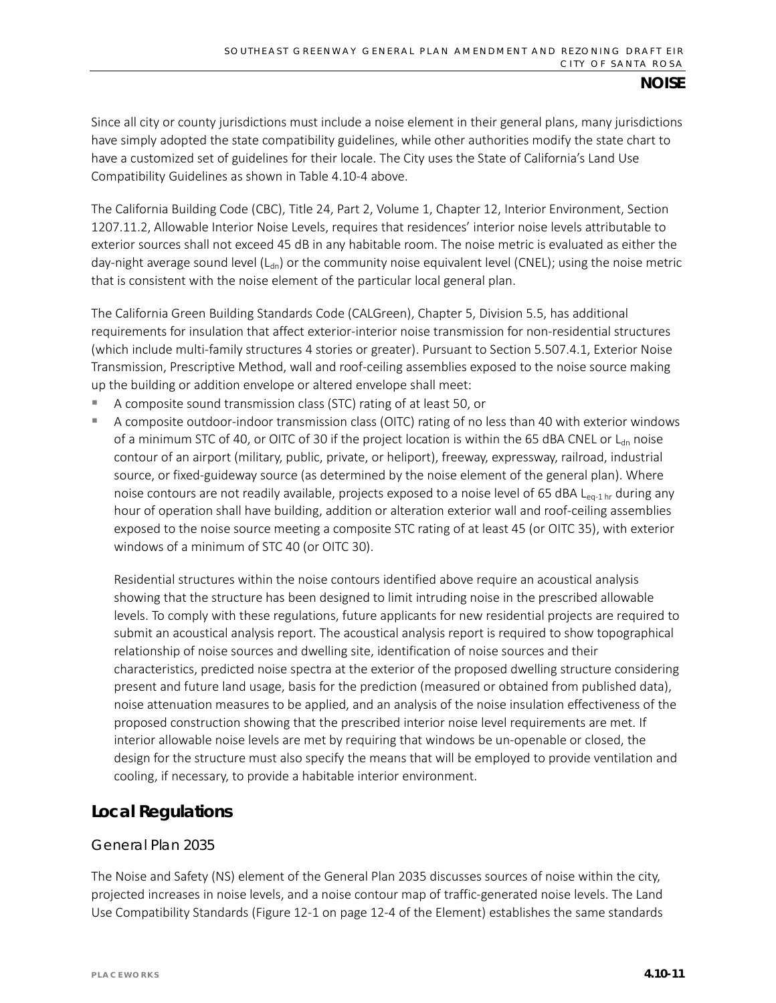Since all city or county jurisdictions must include a noise element in their general plans, many jurisdictions have simply adopted the state compatibility guidelines, while other authorities modify the state chart to have a customized set of guidelines for their locale. The City uses the State of California's Land Use Compatibility Guidelines as shown in Table 4.10-4 above.

The California Building Code (CBC), Title 24, Part 2, Volume 1, Chapter 12, Interior Environment, Section 1207.11.2, Allowable Interior Noise Levels, requires that residences' interior noise levels attributable to exterior sources shall not exceed 45 dB in any habitable room. The noise metric is evaluated as either the day-night average sound level  $(L_{dn})$  or the community noise equivalent level (CNEL); using the noise metric that is consistent with the noise element of the particular local general plan.

The California Green Building Standards Code (CALGreen), Chapter 5, Division 5.5, has additional requirements for insulation that affect exterior-interior noise transmission for non-residential structures (which include multi-family structures 4 stories or greater). Pursuant to Section 5.507.4.1, Exterior Noise Transmission, Prescriptive Method, wall and roof-ceiling assemblies exposed to the noise source making up the building or addition envelope or altered envelope shall meet:

- A composite sound transmission class (STC) rating of at least 50, or
- A composite outdoor-indoor transmission class (OITC) rating of no less than 40 with exterior windows of a minimum STC of 40, or OITC of 30 if the project location is within the 65 dBA CNEL or  $L_{dn}$  noise contour of an airport (military, public, private, or heliport), freeway, expressway, railroad, industrial source, or fixed-guideway source (as determined by the noise element of the general plan). Where noise contours are not readily available, projects exposed to a noise level of 65 dBA L<sub>eq-1 hr</sub> during any hour of operation shall have building, addition or alteration exterior wall and roof-ceiling assemblies exposed to the noise source meeting a composite STC rating of at least 45 (or OITC 35), with exterior windows of a minimum of STC 40 (or OITC 30).

Residential structures within the noise contours identified above require an acoustical analysis showing that the structure has been designed to limit intruding noise in the prescribed allowable levels. To comply with these regulations, future applicants for new residential projects are required to submit an acoustical analysis report. The acoustical analysis report is required to show topographical relationship of noise sources and dwelling site, identification of noise sources and their characteristics, predicted noise spectra at the exterior of the proposed dwelling structure considering present and future land usage, basis for the prediction (measured or obtained from published data), noise attenuation measures to be applied, and an analysis of the noise insulation effectiveness of the proposed construction showing that the prescribed interior noise level requirements are met. If interior allowable noise levels are met by requiring that windows be un-openable or closed, the design for the structure must also specify the means that will be employed to provide ventilation and cooling, if necessary, to provide a habitable interior environment.

## **Local Regulations**

### *General Plan 2035*

The Noise and Safety (NS) element of the General Plan 2035 discusses sources of noise within the city, projected increases in noise levels, and a noise contour map of traffic-generated noise levels. The Land Use Compatibility Standards (Figure 12-1 on page 12-4 of the Element) establishes the same standards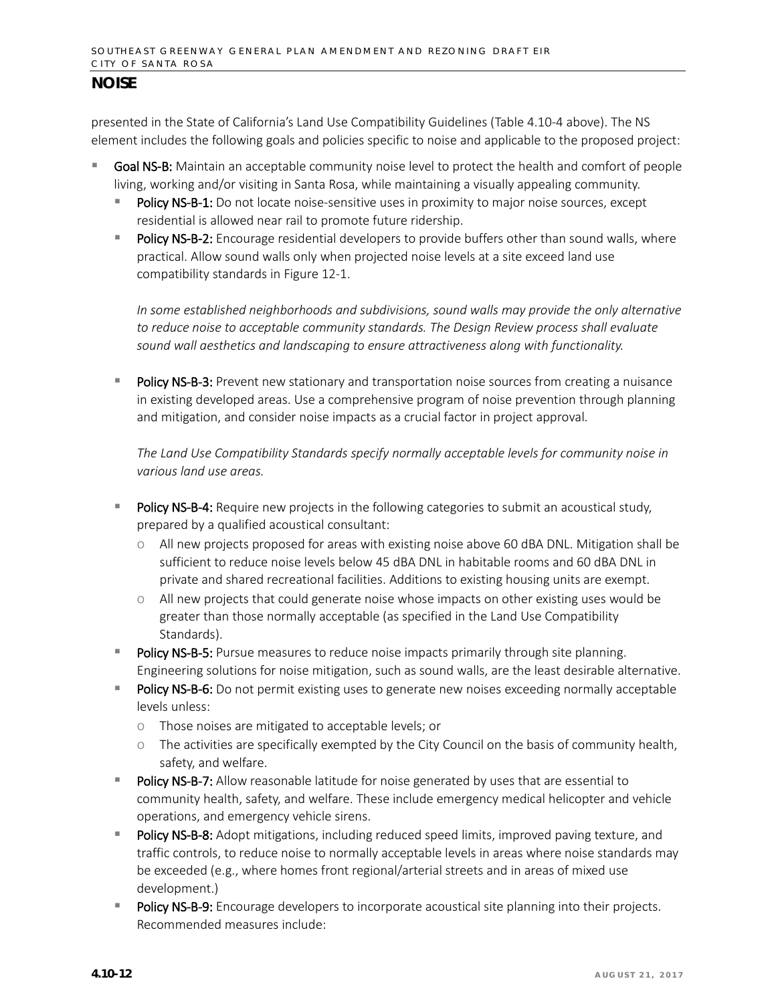presented in the State of California's Land Use Compatibility Guidelines (Table 4.10-4 above). The NS element includes the following goals and policies specific to noise and applicable to the proposed project:

- Goal NS-B: Maintain an acceptable community noise level to protect the health and comfort of people living, working and/or visiting in Santa Rosa, while maintaining a visually appealing community.
	- Policy NS-B-1: Do not locate noise-sensitive uses in proximity to major noise sources, except residential is allowed near rail to promote future ridership.
	- Policy NS-B-2: Encourage residential developers to provide buffers other than sound walls, where practical. Allow sound walls only when projected noise levels at a site exceed land use compatibility standards in Figure 12-1.

*In some established neighborhoods and subdivisions, sound walls may provide the only alternative to reduce noise to acceptable community standards. The Design Review process shall evaluate sound wall aesthetics and landscaping to ensure attractiveness along with functionality.*

Policy NS-B-3: Prevent new stationary and transportation noise sources from creating a nuisance in existing developed areas. Use a comprehensive program of noise prevention through planning and mitigation, and consider noise impacts as a crucial factor in project approval.

*The Land Use Compatibility Standards specify normally acceptable levels for community noise in various land use areas.*

- Policy NS-B-4: Require new projects in the following categories to submit an acoustical study, prepared by a qualified acoustical consultant:
	- o All new projects proposed for areas with existing noise above 60 dBA DNL. Mitigation shall be sufficient to reduce noise levels below 45 dBA DNL in habitable rooms and 60 dBA DNL in private and shared recreational facilities. Additions to existing housing units are exempt.
	- o All new projects that could generate noise whose impacts on other existing uses would be greater than those normally acceptable (as specified in the Land Use Compatibility Standards).
- Policy NS-B-5: Pursue measures to reduce noise impacts primarily through site planning. Engineering solutions for noise mitigation, such as sound walls, are the least desirable alternative.
- Policy NS-B-6: Do not permit existing uses to generate new noises exceeding normally acceptable levels unless:
	- o Those noises are mitigated to acceptable levels; or
	- o The activities are specifically exempted by the City Council on the basis of community health, safety, and welfare.
- Policy NS-B-7: Allow reasonable latitude for noise generated by uses that are essential to community health, safety, and welfare. These include emergency medical helicopter and vehicle operations, and emergency vehicle sirens.
- Policy NS-B-8: Adopt mitigations, including reduced speed limits, improved paving texture, and traffic controls, to reduce noise to normally acceptable levels in areas where noise standards may be exceeded (e.g., where homes front regional/arterial streets and in areas of mixed use development.)
- Policy NS-B-9: Encourage developers to incorporate acoustical site planning into their projects. Recommended measures include: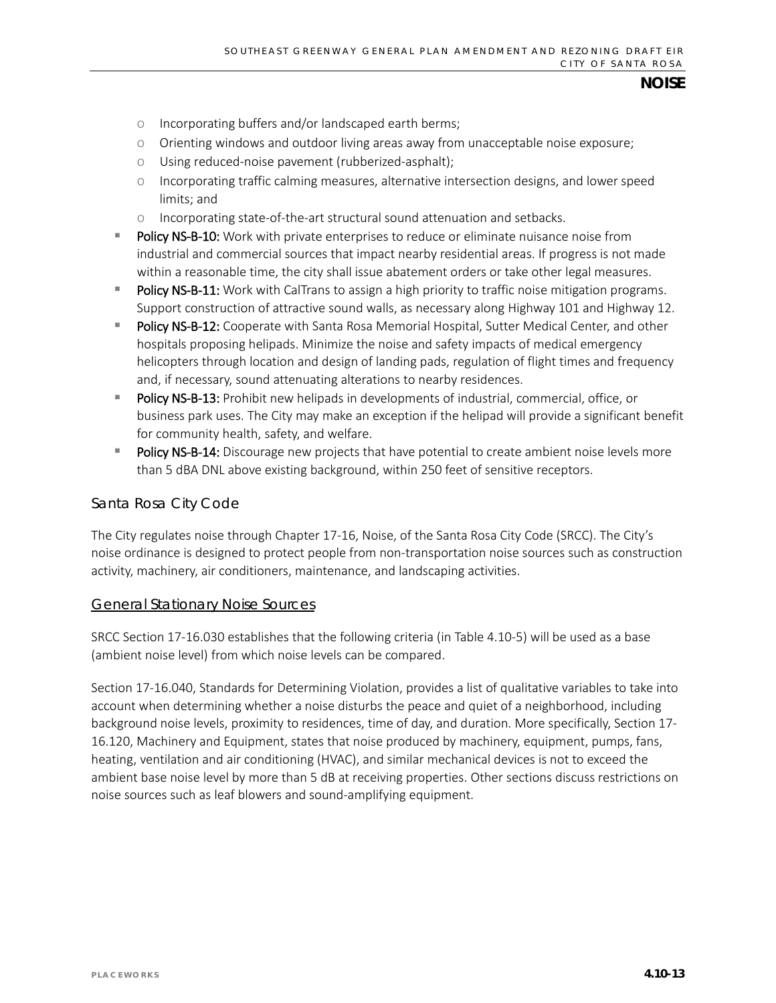- o Incorporating buffers and/or landscaped earth berms;
- o Orienting windows and outdoor living areas away from unacceptable noise exposure;
- o Using reduced-noise pavement (rubberized-asphalt);
- o Incorporating traffic calming measures, alternative intersection designs, and lower speed limits; and
- o Incorporating state-of-the-art structural sound attenuation and setbacks.
- Policy NS-B-10: Work with private enterprises to reduce or eliminate nuisance noise from industrial and commercial sources that impact nearby residential areas. If progress is not made within a reasonable time, the city shall issue abatement orders or take other legal measures.
- Policy NS-B-11: Work with CalTrans to assign a high priority to traffic noise mitigation programs. Support construction of attractive sound walls, as necessary along Highway 101 and Highway 12.
- Policy NS-B-12: Cooperate with Santa Rosa Memorial Hospital, Sutter Medical Center, and other hospitals proposing helipads. Minimize the noise and safety impacts of medical emergency helicopters through location and design of landing pads, regulation of flight times and frequency and, if necessary, sound attenuating alterations to nearby residences.
- Policy NS-B-13: Prohibit new helipads in developments of industrial, commercial, office, or business park uses. The City may make an exception if the helipad will provide a significant benefit for community health, safety, and welfare.
- Policy NS-B-14: Discourage new projects that have potential to create ambient noise levels more than 5 dBA DNL above existing background, within 250 feet of sensitive receptors.

#### *Santa Rosa City Code*

The City regulates noise through Chapter 17-16, Noise, of the Santa Rosa City Code (SRCC). The City's noise ordinance is designed to protect people from non-transportation noise sources such as construction activity, machinery, air conditioners, maintenance, and landscaping activities.

#### General Stationary Noise Sources

SRCC Section 17-16.030 establishes that the following criteria (in Table 4.10-5) will be used as a base (ambient noise level) from which noise levels can be compared.

Section 17-16.040, Standards for Determining Violation, provides a list of qualitative variables to take into account when determining whether a noise disturbs the peace and quiet of a neighborhood, including background noise levels, proximity to residences, time of day, and duration. More specifically, Section 17- 16.120, Machinery and Equipment, states that noise produced by machinery, equipment, pumps, fans, heating, ventilation and air conditioning (HVAC), and similar mechanical devices is not to exceed the ambient base noise level by more than 5 dB at receiving properties. Other sections discuss restrictions on noise sources such as leaf blowers and sound-amplifying equipment.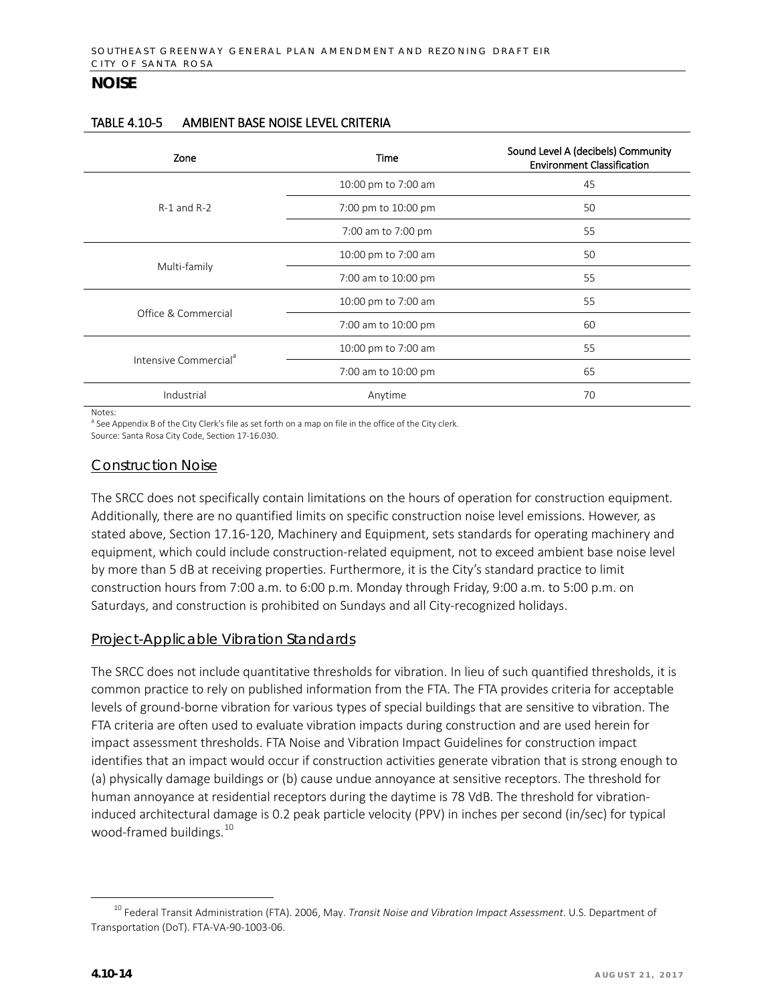| Zone                              | Time                | Sound Level A (decibels) Community<br><b>Environment Classification</b> |  |  |
|-----------------------------------|---------------------|-------------------------------------------------------------------------|--|--|
|                                   | 10:00 pm to 7:00 am | 45                                                                      |  |  |
| $R-1$ and $R-2$                   | 7:00 pm to 10:00 pm | 50                                                                      |  |  |
|                                   | 7:00 am to 7:00 pm  | 55                                                                      |  |  |
|                                   | 10:00 pm to 7:00 am | 50                                                                      |  |  |
| Multi-family                      | 7:00 am to 10:00 pm | 55                                                                      |  |  |
|                                   | 10:00 pm to 7:00 am | 55                                                                      |  |  |
| Office & Commercial               | 7:00 am to 10:00 pm | 60                                                                      |  |  |
| Intensive Commercial <sup>a</sup> | 10:00 pm to 7:00 am | 55                                                                      |  |  |
|                                   | 7:00 am to 10:00 pm | 65                                                                      |  |  |
| Industrial                        | Anytime             | 70                                                                      |  |  |

#### TABLE 4.10-5 AMBIENT BASE NOISE LEVEL CRITERIA

Notes:

<sup>a</sup> See Appendix B of the City Clerk's file as set forth on a map on file in the office of the City clerk.

Source: Santa Rosa City Code, Section 17-16.030.

#### Construction Noise

The SRCC does not specifically contain limitations on the hours of operation for construction equipment. Additionally, there are no quantified limits on specific construction noise level emissions. However, as stated above, Section 17.16-120, Machinery and Equipment, sets standards for operating machinery and equipment, which could include construction-related equipment, not to exceed ambient base noise level by more than 5 dB at receiving properties. Furthermore, it is the City's standard practice to limit construction hours from 7:00 a.m. to 6:00 p.m. Monday through Friday, 9:00 a.m. to 5:00 p.m. on Saturdays, and construction is prohibited on Sundays and all City-recognized holidays.

### Project-Applicable Vibration Standards

The SRCC does not include quantitative thresholds for vibration. In lieu of such quantified thresholds, it is common practice to rely on published information from the FTA. The FTA provides criteria for acceptable levels of ground-borne vibration for various types of special buildings that are sensitive to vibration. The FTA criteria are often used to evaluate vibration impacts during construction and are used herein for impact assessment thresholds. FTA Noise and Vibration Impact Guidelines for construction impact identifies that an impact would occur if construction activities generate vibration that is strong enough to (a) physically damage buildings or (b) cause undue annoyance at sensitive receptors. The threshold for human annoyance at residential receptors during the daytime is 78 VdB. The threshold for vibrationinduced architectural damage is 0.2 peak particle velocity (PPV) in inches per second (in/sec) for typical wood-framed buildings.<sup>[10](#page-13-0)</sup>

<span id="page-13-0"></span> <sup>10</sup> Federal Transit Administration (FTA). 2006, May. *Transit Noise and Vibration Impact Assessment*. U.S. Department of Transportation (DoT). FTA-VA-90-1003-06.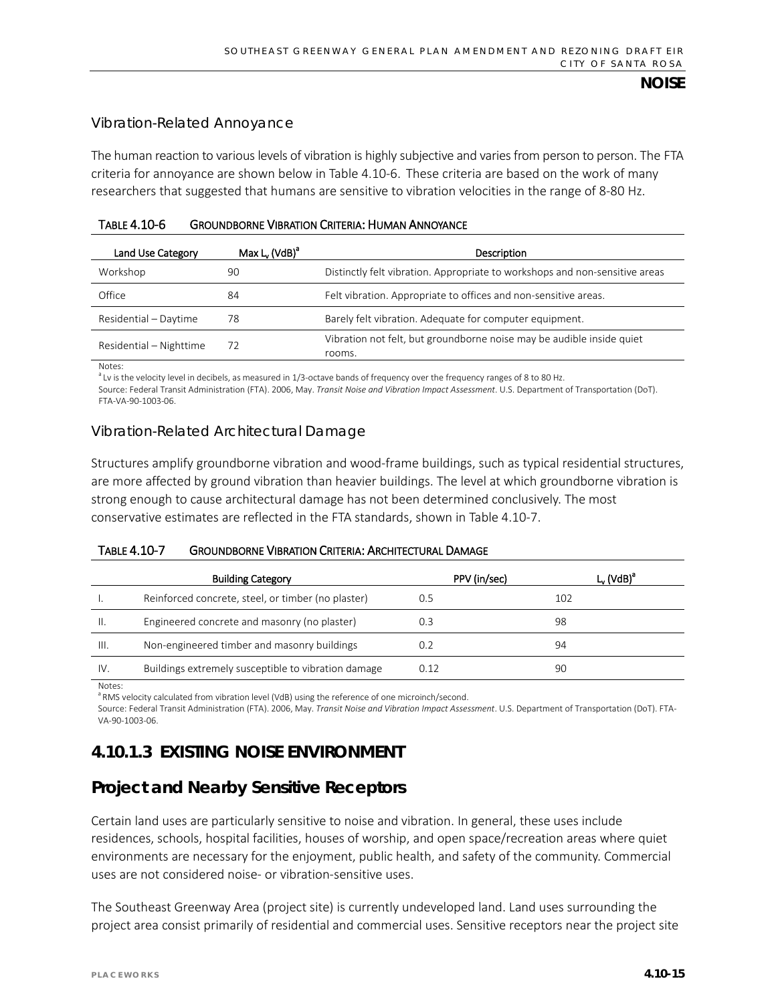#### Vibration-Related Annoyance

The human reaction to various levels of vibration is highly subjective and varies from person to person. The FTA criteria for annoyance are shown below in Table 4.10-6. These criteria are based on the work of many researchers that suggested that humans are sensitive to vibration velocities in the range of 8-80 Hz.

| TABLE 4.10-6 | <b>GROUNDBORNE VIBRATION CRITERIA: HUMAN ANNOYANCE</b> |
|--------------|--------------------------------------------------------|
|              |                                                        |

| Land Use Category       | Max $L_v$ (VdB) <sup>a</sup> | Description                                                                     |
|-------------------------|------------------------------|---------------------------------------------------------------------------------|
| Workshop                | 90                           | Distinctly felt vibration. Appropriate to workshops and non-sensitive areas     |
| Office                  | 84                           | Felt vibration. Appropriate to offices and non-sensitive areas.                 |
| Residential - Daytime   | 78                           | Barely felt vibration. Adequate for computer equipment.                         |
| Residential - Nighttime | 72                           | Vibration not felt, but groundborne noise may be audible inside quiet<br>rooms. |

Notes:

<sup>a</sup> Lv is the velocity level in decibels, as measured in 1/3-octave bands of frequency over the frequency ranges of 8 to 80 Hz.

Source: Federal Transit Administration (FTA). 2006, May. *Transit Noise and Vibration Impact Assessment*. U.S. Department of Transportation (DoT). FTA-VA-90-1003-06.

## Vibration-Related Architectural Damage

Structures amplify groundborne vibration and wood-frame buildings, such as typical residential structures, are more affected by ground vibration than heavier buildings. The level at which groundborne vibration is strong enough to cause architectural damage has not been determined conclusively. The most conservative estimates are reflected in the FTA standards, shown in Table 4.10-7.

#### TABLE 4.10-7 GROUNDBORNE VIBRATION CRITERIA: ARCHITECTURAL DAMAGE

|        | <b>Building Category</b>                            | PPV (in/sec) | $L_v$ (VdB) <sup><math>\epsilon</math></sup> |
|--------|-----------------------------------------------------|--------------|----------------------------------------------|
|        | Reinforced concrete, steel, or timber (no plaster)  | 0.5          | 102                                          |
| Ⅱ.     | Engineered concrete and masonry (no plaster)        | 0.3          | 98                                           |
| III.   | Non-engineered timber and masonry buildings         | 0.2          | 94                                           |
| IV.    | Buildings extremely susceptible to vibration damage | 0.12         | 90                                           |
| Notes: |                                                     |              |                                              |

<sup>a</sup> RMS velocity calculated from vibration level (VdB) using the reference of one microinch/second.

Source: Federal Transit Administration (FTA). 2006, May. *Transit Noise and Vibration Impact Assessment*. U.S. Department of Transportation (DoT). FTA-VA-90-1003-06.

# **4.10.1.3 EXISTING NOISE ENVIRONMENT**

# **Project and Nearby Sensitive Receptors**

Certain land uses are particularly sensitive to noise and vibration. In general, these uses include residences, schools, hospital facilities, houses of worship, and open space/recreation areas where quiet environments are necessary for the enjoyment, public health, and safety of the community. Commercial uses are not considered noise- or vibration-sensitive uses.

The Southeast Greenway Area (project site) is currently undeveloped land. Land uses surrounding the project area consist primarily of residential and commercial uses. Sensitive receptors near the project site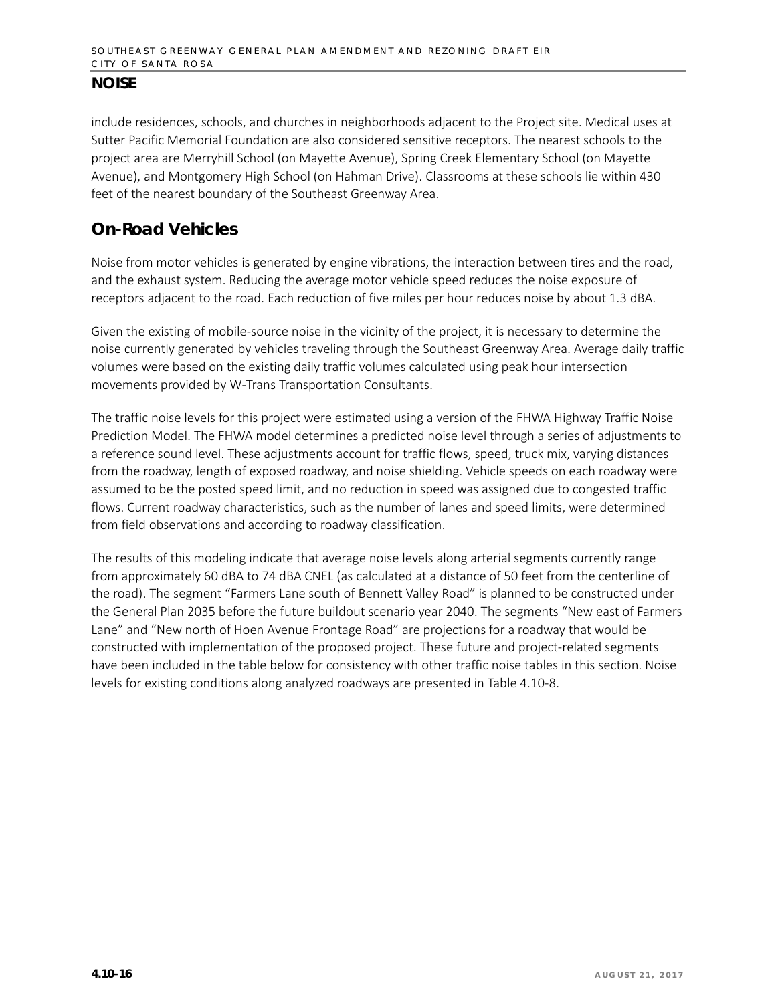include residences, schools, and churches in neighborhoods adjacent to the Project site. Medical uses at Sutter Pacific Memorial Foundation are also considered sensitive receptors. The nearest schools to the project area are Merryhill School (on Mayette Avenue), Spring Creek Elementary School (on Mayette Avenue), and Montgomery High School (on Hahman Drive). Classrooms at these schools lie within 430 feet of the nearest boundary of the Southeast Greenway Area.

# **On-Road Vehicles**

Noise from motor vehicles is generated by engine vibrations, the interaction between tires and the road, and the exhaust system. Reducing the average motor vehicle speed reduces the noise exposure of receptors adjacent to the road. Each reduction of five miles per hour reduces noise by about 1.3 dBA.

Given the existing of mobile-source noise in the vicinity of the project, it is necessary to determine the noise currently generated by vehicles traveling through the Southeast Greenway Area. Average daily traffic volumes were based on the existing daily traffic volumes calculated using peak hour intersection movements provided by W-Trans Transportation Consultants.

The traffic noise levels for this project were estimated using a version of the FHWA Highway Traffic Noise Prediction Model. The FHWA model determines a predicted noise level through a series of adjustments to a reference sound level. These adjustments account for traffic flows, speed, truck mix, varying distances from the roadway, length of exposed roadway, and noise shielding. Vehicle speeds on each roadway were assumed to be the posted speed limit, and no reduction in speed was assigned due to congested traffic flows. Current roadway characteristics, such as the number of lanes and speed limits, were determined from field observations and according to roadway classification.

The results of this modeling indicate that average noise levels along arterial segments currently range from approximately 60 dBA to 74 dBA CNEL (as calculated at a distance of 50 feet from the centerline of the road). The segment "Farmers Lane south of Bennett Valley Road" is planned to be constructed under the General Plan 2035 before the future buildout scenario year 2040. The segments "New east of Farmers Lane" and "New north of Hoen Avenue Frontage Road" are projections for a roadway that would be constructed with implementation of the proposed project. These future and project-related segments have been included in the table below for consistency with other traffic noise tables in this section. Noise levels for existing conditions along analyzed roadways are presented in Table 4.10-8.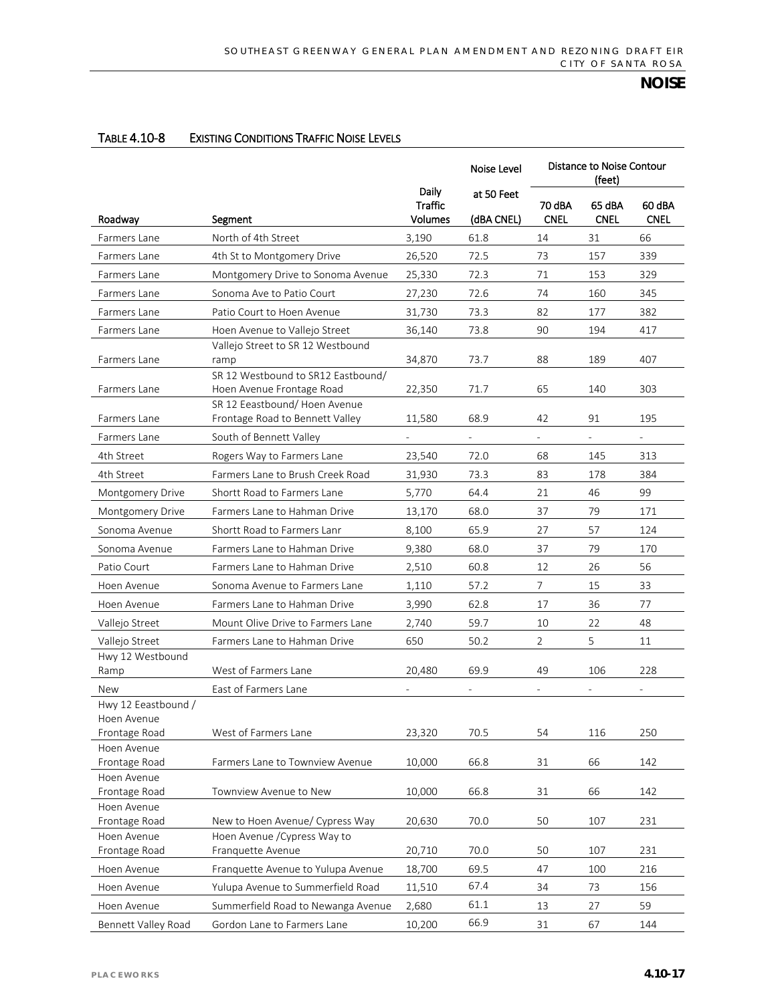#### TABLE 4.10-8 EXISTING CONDITIONS TRAFFIC NOISE LEVELS

|                              |                                                                    |                                                  | Noise Level              | Distance to Noise Contour<br>(feet) |                          |                       |
|------------------------------|--------------------------------------------------------------------|--------------------------------------------------|--------------------------|-------------------------------------|--------------------------|-----------------------|
| Roadway                      | Segment                                                            | <b>Daily</b><br><b>Traffic</b><br><b>Volumes</b> | at 50 Feet<br>(dBA CNEL) | 70 dBA<br><b>CNEL</b>               | 65 dBA<br><b>CNEL</b>    | 60 dBA<br><b>CNEL</b> |
| Farmers Lane                 | North of 4th Street                                                | 3,190                                            | 61.8                     | 14                                  | 31                       | 66                    |
| Farmers Lane                 | 4th St to Montgomery Drive                                         | 26,520                                           | 72.5                     | 73                                  | 157                      | 339                   |
| Farmers Lane                 | Montgomery Drive to Sonoma Avenue                                  | 25,330                                           | 72.3                     | 71                                  | 153                      | 329                   |
| Farmers Lane                 | Sonoma Ave to Patio Court                                          | 27,230                                           | 72.6                     | 74                                  | 160                      | 345                   |
|                              | Patio Court to Hoen Avenue                                         |                                                  | 73.3                     | 82                                  |                          | 382                   |
| Farmers Lane                 |                                                                    | 31,730                                           |                          |                                     | 177                      |                       |
| Farmers Lane                 | Hoen Avenue to Vallejo Street<br>Vallejo Street to SR 12 Westbound | 36,140                                           | 73.8                     | 90                                  | 194                      | 417                   |
| Farmers Lane                 | ramp                                                               | 34,870                                           | 73.7                     | 88                                  | 189                      | 407                   |
|                              | SR 12 Westbound to SR12 Eastbound/                                 |                                                  |                          |                                     |                          |                       |
| Farmers Lane                 | Hoen Avenue Frontage Road                                          | 22,350                                           | 71.7                     | 65                                  | 140                      | 303                   |
|                              | SR 12 Eeastbound/ Hoen Avenue                                      |                                                  |                          |                                     |                          |                       |
| Farmers Lane                 | Frontage Road to Bennett Valley                                    | 11,580                                           | 68.9                     | 42                                  | 91                       | 195                   |
| Farmers Lane                 | South of Bennett Valley                                            |                                                  |                          |                                     |                          |                       |
| 4th Street                   | Rogers Way to Farmers Lane                                         | 23,540                                           | 72.0                     | 68                                  | 145                      | 313                   |
| 4th Street                   | Farmers Lane to Brush Creek Road                                   | 31,930                                           | 73.3                     | 83                                  | 178                      | 384                   |
| Montgomery Drive             | Shortt Road to Farmers Lane                                        | 5,770                                            | 64.4                     | 21                                  | 46                       | 99                    |
| Montgomery Drive             | Farmers Lane to Hahman Drive                                       | 13,170                                           | 68.0                     | 37                                  | 79                       | 171                   |
| Sonoma Avenue                | Shortt Road to Farmers Lanr                                        | 8,100                                            | 65.9                     | 27                                  | 57                       | 124                   |
| Sonoma Avenue                | Farmers Lane to Hahman Drive                                       | 9,380                                            | 68.0                     | 37                                  | 79                       | 170                   |
| Patio Court                  | Farmers Lane to Hahman Drive                                       | 2,510                                            | 60.8                     | 12                                  | 26                       | 56                    |
|                              |                                                                    |                                                  | 57.2                     | $\overline{7}$                      | 15                       | 33                    |
| Hoen Avenue                  | Sonoma Avenue to Farmers Lane                                      | 1,110                                            |                          |                                     |                          |                       |
| Hoen Avenue                  | Farmers Lane to Hahman Drive                                       | 3,990                                            | 62.8                     | 17                                  | 36                       | 77                    |
| Vallejo Street               | Mount Olive Drive to Farmers Lane                                  | 2,740                                            | 59.7                     | 10                                  | 22                       | 48                    |
| Vallejo Street               | Farmers Lane to Hahman Drive                                       | 650                                              | 50.2                     | $\overline{2}$                      | 5                        | 11                    |
| Hwy 12 Westbound<br>Ramp     | West of Farmers Lane                                               | 20,480                                           | 69.9                     | 49                                  | 106                      | 228                   |
|                              |                                                                    |                                                  |                          |                                     |                          |                       |
| New<br>Hwy 12 Eeastbound /   | East of Farmers Lane                                               |                                                  | $\bar{\phantom{a}}$      | $\overline{\phantom{a}}$            | $\overline{\phantom{a}}$ | $\bar{\phantom{a}}$   |
| Hoen Avenue                  |                                                                    |                                                  |                          |                                     |                          |                       |
| Frontage Road                | West of Farmers Lane                                               | 23,320                                           | 70.5                     | 54                                  | 116                      | 250                   |
| Hoen Avenue                  |                                                                    |                                                  |                          |                                     |                          |                       |
| Frontage Road                | Farmers Lane to Townview Avenue                                    | 10,000                                           | 66.8                     | 31                                  | 66                       | 142                   |
| Hoen Avenue                  |                                                                    |                                                  |                          |                                     |                          |                       |
| Frontage Road                | Townview Avenue to New                                             | 10,000                                           | 66.8                     | 31                                  | 66                       | 142                   |
| Hoen Avenue<br>Frontage Road | New to Hoen Avenue/ Cypress Way                                    | 20,630                                           | 70.0                     | 50                                  | 107                      | 231                   |
| Hoen Avenue                  | Hoen Avenue / Cypress Way to                                       |                                                  |                          |                                     |                          |                       |
| Frontage Road                | Franquette Avenue                                                  | 20,710                                           | 70.0                     | 50                                  | 107                      | 231                   |
| Hoen Avenue                  | Franquette Avenue to Yulupa Avenue                                 | 18,700                                           | 69.5                     | 47                                  | 100                      | 216                   |
| Hoen Avenue                  | Yulupa Avenue to Summerfield Road                                  | 11,510                                           | 67.4                     | 34                                  | 73                       | 156                   |
| Hoen Avenue                  | Summerfield Road to Newanga Avenue                                 | 2,680                                            | 61.1                     | 13                                  | $27$                     | 59                    |
| Bennett Valley Road          | Gordon Lane to Farmers Lane                                        | 10,200                                           | 66.9                     | 31                                  | 67                       | 144                   |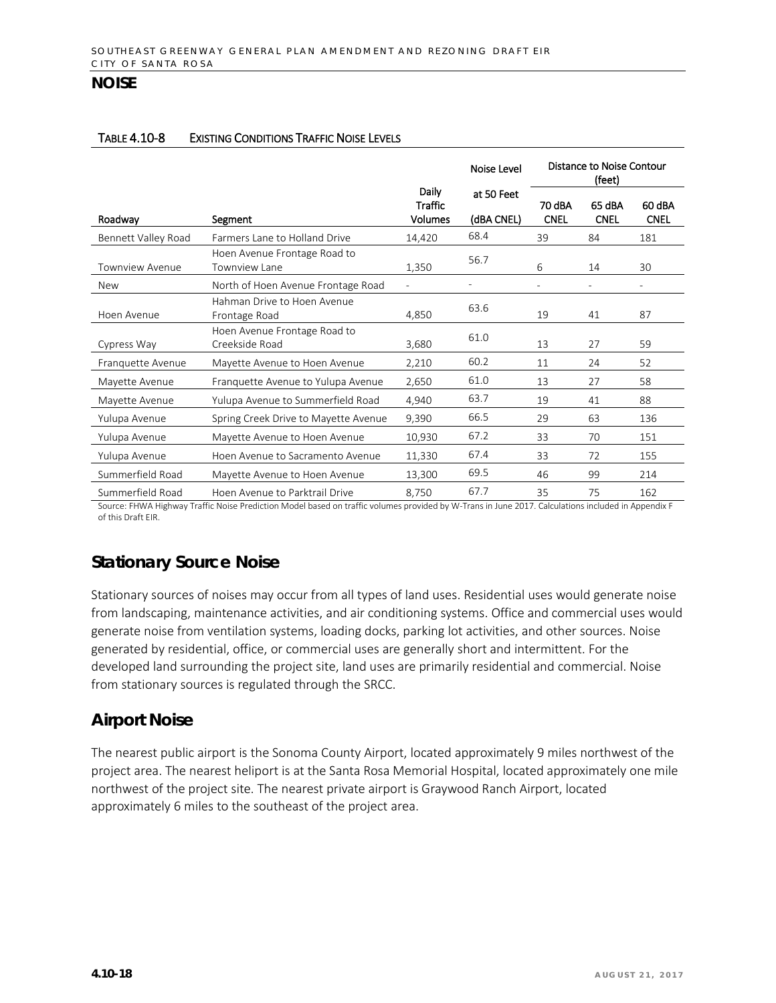#### TABLE 4.10-8 EXISTING CONDITIONS TRAFFIC NOISE LEVELS

|                        |                                                |                                    | Noise Level              | Distance to Noise Contour<br>(feet) |                       |                          |
|------------------------|------------------------------------------------|------------------------------------|--------------------------|-------------------------------------|-----------------------|--------------------------|
| Roadwav                | Segment                                        | Daily<br>Traffic<br><b>Volumes</b> | at 50 Feet<br>(dBA CNEL) | 70 dBA<br><b>CNEL</b>               | 65 dBA<br><b>CNEL</b> | 60 dBA<br><b>CNEL</b>    |
| Bennett Valley Road    | Farmers Lane to Holland Drive                  | 14,420                             | 68.4                     | 39                                  | 84                    | 181                      |
| <b>Townview Avenue</b> | Hoen Avenue Frontage Road to<br>Townview Lane  | 1,350                              | 56.7                     | 6                                   | 14                    | 30                       |
| <b>New</b>             | North of Hoen Avenue Frontage Road             | $\overline{a}$                     |                          | $\overline{\phantom{0}}$            | $\overline{a}$        | $\overline{\phantom{a}}$ |
| Hoen Avenue            | Hahman Drive to Hoen Avenue<br>Frontage Road   | 4,850                              | 63.6                     | 19                                  | 41                    | 87                       |
| Cypress Way            | Hoen Avenue Frontage Road to<br>Creekside Road | 3,680                              | 61.0                     | 13                                  | 27                    | 59                       |
| Franquette Avenue      | Mayette Avenue to Hoen Avenue                  | 2,210                              | 60.2                     | 11                                  | 24                    | 52                       |
| Mayette Avenue         | Franquette Avenue to Yulupa Avenue             | 2,650                              | 61.0                     | 13                                  | 27                    | 58                       |
| Mayette Avenue         | Yulupa Avenue to Summerfield Road              | 4,940                              | 63.7                     | 19                                  | 41                    | 88                       |
| Yulupa Avenue          | Spring Creek Drive to Mayette Avenue           | 9,390                              | 66.5                     | 29                                  | 63                    | 136                      |
| Yulupa Avenue          | Mayette Avenue to Hoen Avenue                  | 10,930                             | 67.2                     | 33                                  | 70                    | 151                      |
| Yulupa Avenue          | Hoen Avenue to Sacramento Avenue               | 11,330                             | 67.4                     | 33                                  | 72                    | 155                      |
| Summerfield Road       | Mayette Avenue to Hoen Avenue                  | 13,300                             | 69.5                     | 46                                  | 99                    | 214                      |
| Summerfield Road       | Hoen Avenue to Parktrail Drive                 | 8,750                              | 67.7                     | 35                                  | 75                    | 162                      |

Source: FHWA Highway Traffic Noise Prediction Model based on traffic volumes provided by W-Trans in June 2017. Calculations included in Appendix F of this Draft EIR.

# **Stationary Source Noise**

Stationary sources of noises may occur from all types of land uses. Residential uses would generate noise from landscaping, maintenance activities, and air conditioning systems. Office and commercial uses would generate noise from ventilation systems, loading docks, parking lot activities, and other sources. Noise generated by residential, office, or commercial uses are generally short and intermittent. For the developed land surrounding the project site, land uses are primarily residential and commercial. Noise from stationary sources is regulated through the SRCC.

## **Airport Noise**

The nearest public airport is the Sonoma County Airport, located approximately 9 miles northwest of the project area. The nearest heliport is at the Santa Rosa Memorial Hospital, located approximately one mile northwest of the project site. The nearest private airport is Graywood Ranch Airport, located approximately 6 miles to the southeast of the project area.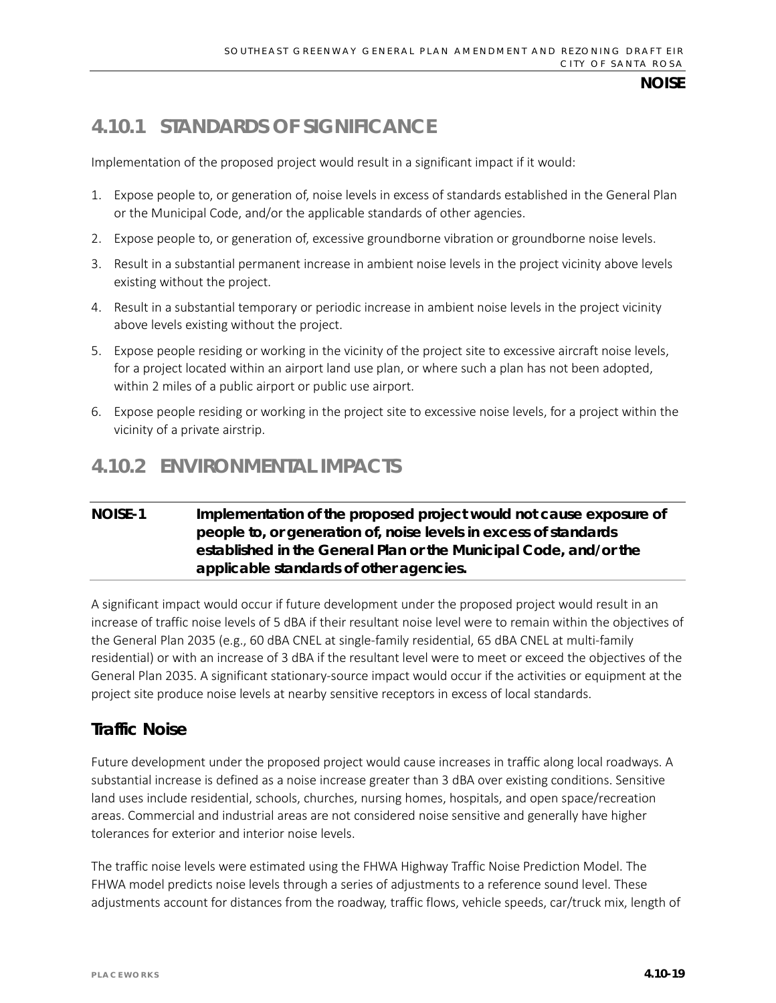# **4.10.1 STANDARDS OF SIGNIFICANCE**

Implementation of the proposed project would result in a significant impact if it would:

- 1. Expose people to, or generation of, noise levels in excess of standards established in the General Plan or the Municipal Code, and/or the applicable standards of other agencies.
- 2. Expose people to, or generation of, excessive groundborne vibration or groundborne noise levels.
- 3. Result in a substantial permanent increase in ambient noise levels in the project vicinity above levels existing without the project.
- 4. Result in a substantial temporary or periodic increase in ambient noise levels in the project vicinity above levels existing without the project.
- 5. Expose people residing or working in the vicinity of the project site to excessive aircraft noise levels, for a project located within an airport land use plan, or where such a plan has not been adopted, within 2 miles of a public airport or public use airport.
- 6. Expose people residing or working in the project site to excessive noise levels, for a project within the vicinity of a private airstrip.

# **4.10.2 ENVIRONMENTAL IMPACTS**

## **NOISE-1 Implementation of the proposed project would not cause exposure of people to, or generation of, noise levels in excess of standards established in the General Plan or the Municipal Code, and/or the applicable standards of other agencies.**

A significant impact would occur if future development under the proposed project would result in an increase of traffic noise levels of 5 dBA if their resultant noise level were to remain within the objectives of the General Plan 2035 (e.g., 60 dBA CNEL at single-family residential, 65 dBA CNEL at multi-family residential) or with an increase of 3 dBA if the resultant level were to meet or exceed the objectives of the General Plan 2035. A significant stationary-source impact would occur if the activities or equipment at the project site produce noise levels at nearby sensitive receptors in excess of local standards.

# **Traffic Noise**

Future development under the proposed project would cause increases in traffic along local roadways. A substantial increase is defined as a noise increase greater than 3 dBA over existing conditions. Sensitive land uses include residential, schools, churches, nursing homes, hospitals, and open space/recreation areas. Commercial and industrial areas are not considered noise sensitive and generally have higher tolerances for exterior and interior noise levels.

The traffic noise levels were estimated using the FHWA Highway Traffic Noise Prediction Model. The FHWA model predicts noise levels through a series of adjustments to a reference sound level. These adjustments account for distances from the roadway, traffic flows, vehicle speeds, car/truck mix, length of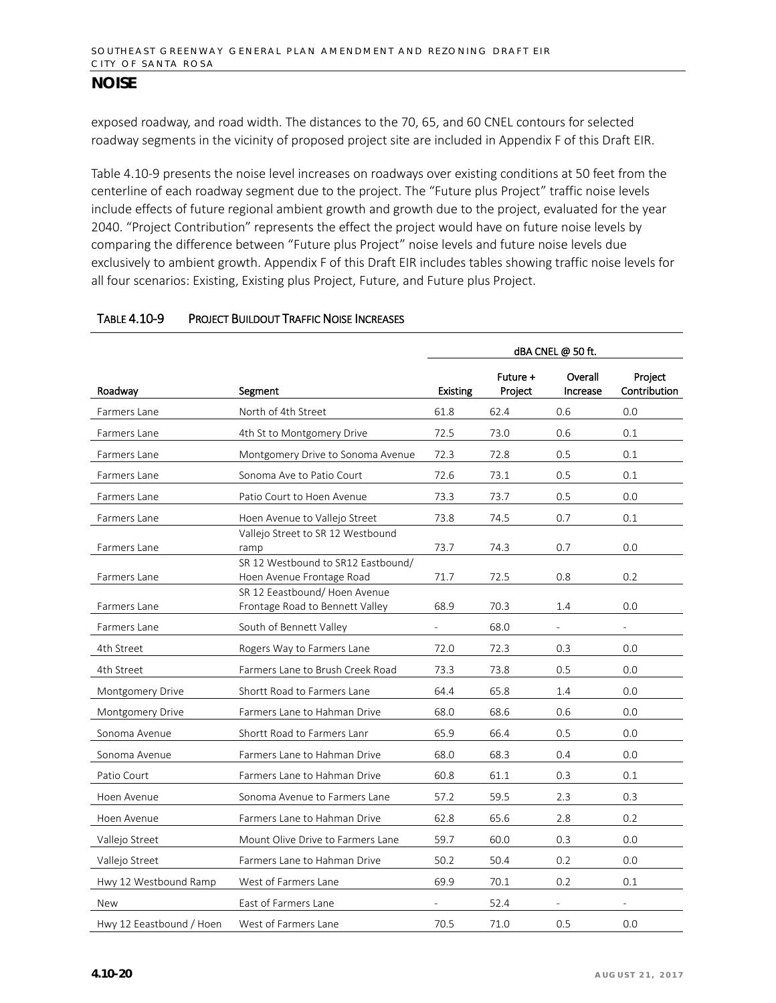exposed roadway, and road width. The distances to the 70, 65, and 60 CNEL contours for selected roadway segments in the vicinity of proposed project site are included in Appendix F of this Draft EIR.

Table 4.10-9 presents the noise level increases on roadways over existing conditions at 50 feet from the centerline of each roadway segment due to the project. The "Future plus Project" traffic noise levels include effects of future regional ambient growth and growth due to the project, evaluated for the year 2040. "Project Contribution" represents the effect the project would have on future noise levels by comparing the difference between "Future plus Project" noise levels and future noise levels due exclusively to ambient growth. Appendix F of this Draft EIR includes tables showing traffic noise levels for all four scenarios: Existing, Existing plus Project, Future, and Future plus Project.

|                          |                                                                 | dBA CNEL @ 50 ft.        |                     |                             |                          |
|--------------------------|-----------------------------------------------------------------|--------------------------|---------------------|-----------------------------|--------------------------|
| Roadway                  | Segment                                                         | <b>Existing</b>          | Future +<br>Project | Overall<br>Increase         | Project<br>Contribution  |
| Farmers Lane             | North of 4th Street                                             | 61.8                     | 62.4                | 0.6                         | 0.0                      |
| Farmers Lane             | 4th St to Montgomery Drive                                      | 72.5                     | 73.0                | 0.6                         | 0.1                      |
| Farmers Lane             | Montgomery Drive to Sonoma Avenue                               | 72.3                     | 72.8                | 0.5                         | 0.1                      |
| Farmers Lane             | Sonoma Ave to Patio Court                                       | 72.6                     | 73.1                | 0.5                         | 0.1                      |
| Farmers Lane             | Patio Court to Hoen Avenue                                      | 73.3                     | 73.7                | 0.5                         | 0.0                      |
| Farmers Lane             | Hoen Avenue to Vallejo Street                                   | 73.8                     | 74.5                | 0.7                         | 0.1                      |
|                          | Vallejo Street to SR 12 Westbound                               |                          |                     |                             |                          |
| Farmers Lane             | ramp                                                            | 73.7                     | 74.3                | 0.7                         | 0.0                      |
| Farmers Lane             | SR 12 Westbound to SR12 Eastbound/<br>Hoen Avenue Frontage Road | 71.7                     | 72.5                | 0.8                         | 0.2                      |
|                          | SR 12 Eeastbound/ Hoen Avenue                                   |                          |                     |                             |                          |
| Farmers Lane             | Frontage Road to Bennett Valley                                 | 68.9                     | 70.3                | 1.4                         | 0.0                      |
| Farmers Lane             | South of Bennett Valley                                         | $\overline{\phantom{0}}$ | 68.0                | $\mathcal{L}^{\mathcal{A}}$ | $\overline{\phantom{a}}$ |
| 4th Street               | Rogers Way to Farmers Lane                                      | 72.0                     | 72.3                | 0.3                         | 0.0                      |
| 4th Street               | Farmers Lane to Brush Creek Road                                | 73.3                     | 73.8                | 0.5                         | 0.0                      |
| Montgomery Drive         | Shortt Road to Farmers Lane                                     | 64.4                     | 65.8                | 1.4                         | 0.0                      |
| Montgomery Drive         | Farmers Lane to Hahman Drive                                    | 68.0                     | 68.6                | 0.6                         | 0.0                      |
| Sonoma Avenue            | Shortt Road to Farmers Lanr                                     | 65.9                     | 66.4                | 0.5                         | 0.0                      |
| Sonoma Avenue            | Farmers Lane to Hahman Drive                                    | 68.0                     | 68.3                | 0.4                         | 0.0                      |
| Patio Court              | Farmers Lane to Hahman Drive                                    | 60.8                     | 61.1                | 0.3                         | 0.1                      |
| Hoen Avenue              | Sonoma Avenue to Farmers Lane                                   | 57.2                     | 59.5                | 2.3                         | 0.3                      |
| Hoen Avenue              | Farmers Lane to Hahman Drive                                    | 62.8                     | 65.6                | 2.8                         | 0.2                      |
| Vallejo Street           | Mount Olive Drive to Farmers Lane                               | 59.7                     | 60.0                | 0.3                         | 0.0                      |
| Vallejo Street           | Farmers Lane to Hahman Drive                                    | 50.2                     | 50.4                | 0.2                         | 0.0                      |
| Hwy 12 Westbound Ramp    | West of Farmers Lane                                            | 69.9                     | 70.1                | 0.2                         | 0.1                      |
| New                      | East of Farmers Lane                                            |                          | 52.4                |                             |                          |
| Hwy 12 Eeastbound / Hoen | West of Farmers Lane                                            | 70.5                     | 71.0                | 0.5                         | 0.0                      |

#### TABLE 4.10-9 PROJECT BUILDOUT TRAFFIC NOISE INCREASES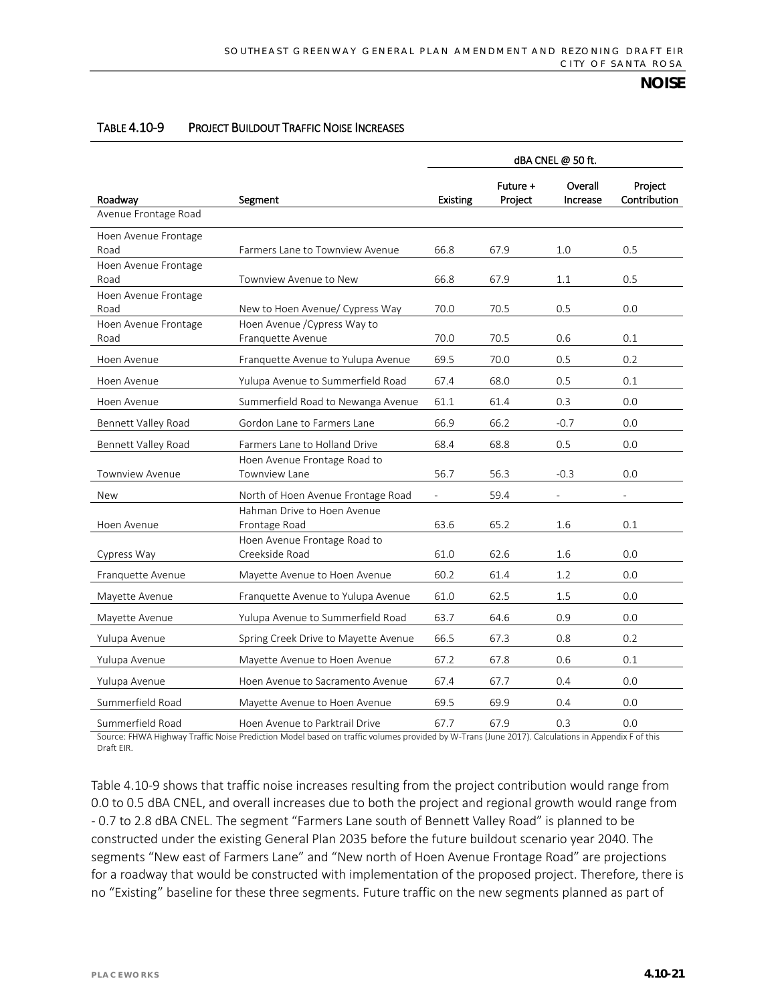|                              | dBA CNEL @ 50 ft.                                    |                 |                     |                          |                          |
|------------------------------|------------------------------------------------------|-----------------|---------------------|--------------------------|--------------------------|
| Roadway                      | Segment                                              | <b>Existing</b> | Future +<br>Project | Overall<br>Increase      | Project<br>Contribution  |
| Avenue Frontage Road         |                                                      |                 |                     |                          |                          |
| Hoen Avenue Frontage<br>Road | Farmers Lane to Townview Avenue                      | 66.8            | 67.9                | 1.0                      | 0.5                      |
| Hoen Avenue Frontage<br>Road | Townview Avenue to New                               | 66.8            | 67.9                | 1.1                      | 0.5                      |
| Hoen Avenue Frontage<br>Road | New to Hoen Avenue/ Cypress Way                      | 70.0            | 70.5                | 0.5                      | 0.0                      |
| Hoen Avenue Frontage<br>Road | Hoen Avenue / Cypress Way to<br>Franquette Avenue    | 70.0            | 70.5                | 0.6                      | 0.1                      |
| Hoen Avenue                  | Franquette Avenue to Yulupa Avenue                   | 69.5            | 70.0                | 0.5                      | 0.2                      |
| Hoen Avenue                  | Yulupa Avenue to Summerfield Road                    | 67.4            | 68.0                | 0.5                      | 0.1                      |
| Hoen Avenue                  | Summerfield Road to Newanga Avenue                   | 61.1            | 61.4                | 0.3                      | 0.0                      |
| Bennett Valley Road          | Gordon Lane to Farmers Lane                          | 66.9            | 66.2                | $-0.7$                   | 0.0                      |
| Bennett Valley Road          | Farmers Lane to Holland Drive                        | 68.4            | 68.8                | 0.5                      | 0.0                      |
| Townview Avenue              | Hoen Avenue Frontage Road to<br><b>Townview Lane</b> | 56.7            | 56.3                | $-0.3$                   | 0.0                      |
| New                          | North of Hoen Avenue Frontage Road                   |                 | 59.4                | $\overline{\phantom{0}}$ | $\overline{\phantom{a}}$ |
| Hoen Avenue                  | Hahman Drive to Hoen Avenue<br>Frontage Road         | 63.6            | 65.2                | 1.6                      | 0.1                      |
| Cypress Way                  | Hoen Avenue Frontage Road to<br>Creekside Road       | 61.0            | 62.6                | 1.6                      | 0.0                      |
| Franquette Avenue            | Mayette Avenue to Hoen Avenue                        | 60.2            | 61.4                | 1.2                      | 0.0                      |
| Mayette Avenue               | Franquette Avenue to Yulupa Avenue                   | 61.0            | 62.5                | 1.5                      | 0.0                      |
| Mayette Avenue               | Yulupa Avenue to Summerfield Road                    | 63.7            | 64.6                | 0.9                      | 0.0                      |
| Yulupa Avenue                | Spring Creek Drive to Mayette Avenue                 | 66.5            | 67.3                | 0.8                      | 0.2                      |
| Yulupa Avenue                | Mayette Avenue to Hoen Avenue                        | 67.2            | 67.8                | 0.6                      | 0.1                      |
| Yulupa Avenue                | Hoen Avenue to Sacramento Avenue                     | 67.4            | 67.7                | 0.4                      | 0.0                      |
| Summerfield Road             | Mayette Avenue to Hoen Avenue                        | 69.5            | 69.9                | 0.4                      | 0.0                      |
| Summerfield Road             | Hoen Avenue to Parktrail Drive                       | 67.7            | 67.9                | 0.3                      | 0.0                      |

#### TABLE 4.10-9 PROJECT BUILDOUT TRAFFIC NOISE INCREASES

Source: FHWA Highway Traffic Noise Prediction Model based on traffic volumes provided by W-Trans (June 2017). Calculations in Appendix F of this Draft EIR.

Table 4.10-9 shows that traffic noise increases resulting from the project contribution would range from 0.0 to 0.5 dBA CNEL, and overall increases due to both the project and regional growth would range from - 0.7 to 2.8 dBA CNEL. The segment "Farmers Lane south of Bennett Valley Road" is planned to be constructed under the existing General Plan 2035 before the future buildout scenario year 2040. The segments "New east of Farmers Lane" and "New north of Hoen Avenue Frontage Road" are projections for a roadway that would be constructed with implementation of the proposed project. Therefore, there is no "Existing" baseline for these three segments. Future traffic on the new segments planned as part of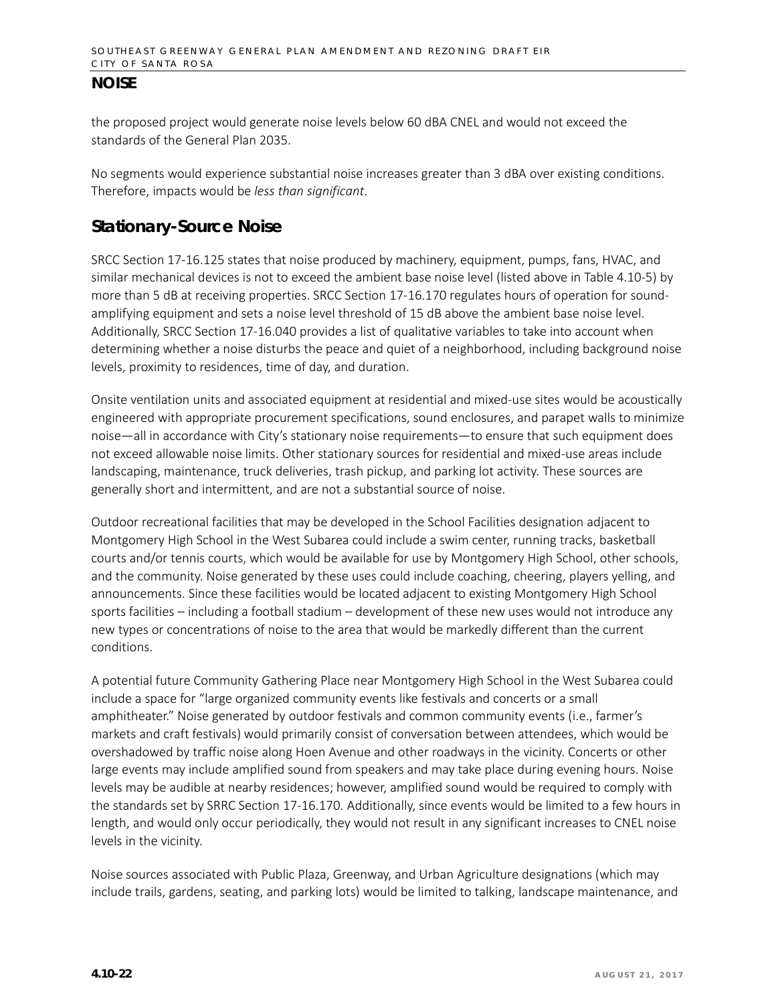the proposed project would generate noise levels below 60 dBA CNEL and would not exceed the standards of the General Plan 2035.

No segments would experience substantial noise increases greater than 3 dBA over existing conditions. Therefore, impacts would be *less than significant*.

## **Stationary-Source Noise**

SRCC Section 17-16.125 states that noise produced by machinery, equipment, pumps, fans, HVAC, and similar mechanical devices is not to exceed the ambient base noise level (listed above in Table 4.10-5) by more than 5 dB at receiving properties. SRCC Section 17-16.170 regulates hours of operation for soundamplifying equipment and sets a noise level threshold of 15 dB above the ambient base noise level. Additionally, SRCC Section 17-16.040 provides a list of qualitative variables to take into account when determining whether a noise disturbs the peace and quiet of a neighborhood, including background noise levels, proximity to residences, time of day, and duration.

Onsite ventilation units and associated equipment at residential and mixed-use sites would be acoustically engineered with appropriate procurement specifications, sound enclosures, and parapet walls to minimize noise—all in accordance with City's stationary noise requirements—to ensure that such equipment does not exceed allowable noise limits. Other stationary sources for residential and mixed-use areas include landscaping, maintenance, truck deliveries, trash pickup, and parking lot activity. These sources are generally short and intermittent, and are not a substantial source of noise.

Outdoor recreational facilities that may be developed in the School Facilities designation adjacent to Montgomery High School in the West Subarea could include a swim center, running tracks, basketball courts and/or tennis courts, which would be available for use by Montgomery High School, other schools, and the community. Noise generated by these uses could include coaching, cheering, players yelling, and announcements. Since these facilities would be located adjacent to existing Montgomery High School sports facilities – including a football stadium – development of these new uses would not introduce any new types or concentrations of noise to the area that would be markedly different than the current conditions.

A potential future Community Gathering Place near Montgomery High School in the West Subarea could include a space for "large organized community events like festivals and concerts or a small amphitheater." Noise generated by outdoor festivals and common community events (i.e., farmer's markets and craft festivals) would primarily consist of conversation between attendees, which would be overshadowed by traffic noise along Hoen Avenue and other roadways in the vicinity. Concerts or other large events may include amplified sound from speakers and may take place during evening hours. Noise levels may be audible at nearby residences; however, amplified sound would be required to comply with the standards set by SRRC Section 17-16.170. Additionally, since events would be limited to a few hours in length, and would only occur periodically, they would not result in any significant increases to CNEL noise levels in the vicinity.

Noise sources associated with Public Plaza, Greenway, and Urban Agriculture designations (which may include trails, gardens, seating, and parking lots) would be limited to talking, landscape maintenance, and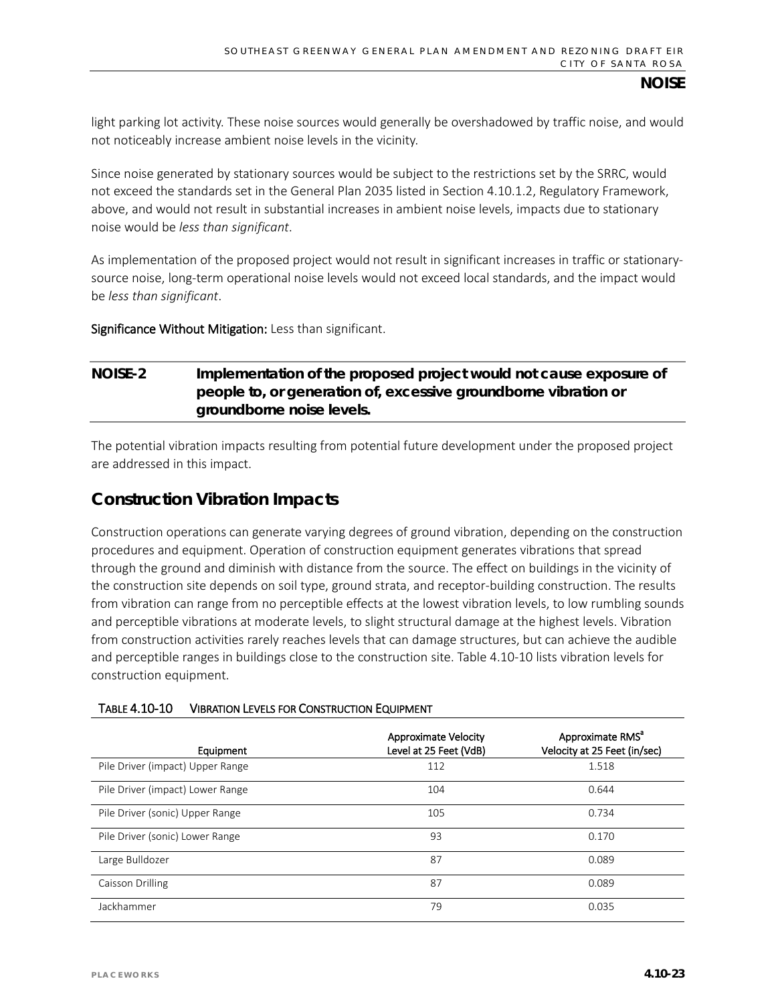light parking lot activity. These noise sources would generally be overshadowed by traffic noise, and would not noticeably increase ambient noise levels in the vicinity.

Since noise generated by stationary sources would be subject to the restrictions set by the SRRC, would not exceed the standards set in the General Plan 2035 listed in Section 4.10.1.2, Regulatory Framework, above, and would not result in substantial increases in ambient noise levels, impacts due to stationary noise would be *less than significant*.

As implementation of the proposed project would not result in significant increases in traffic or stationarysource noise, long-term operational noise levels would not exceed local standards, and the impact would be *less than significant*.

Significance Without Mitigation: Less than significant.

## **NOISE-2 Implementation of the proposed project would not cause exposure of people to, or generation of, excessive groundborne vibration or groundborne noise levels.**

The potential vibration impacts resulting from potential future development under the proposed project are addressed in this impact.

## **Construction Vibration Impacts**

Construction operations can generate varying degrees of ground vibration, depending on the construction procedures and equipment. Operation of construction equipment generates vibrations that spread through the ground and diminish with distance from the source. The effect on buildings in the vicinity of the construction site depends on soil type, ground strata, and receptor-building construction. The results from vibration can range from no perceptible effects at the lowest vibration levels, to low rumbling sounds and perceptible vibrations at moderate levels, to slight structural damage at the highest levels. Vibration from construction activities rarely reaches levels that can damage structures, but can achieve the audible and perceptible ranges in buildings close to the construction site. Table 4.10-10 lists vibration levels for construction equipment.

| Equipment                        | <b>Approximate Velocity</b><br>Level at 25 Feet (VdB) | Approximate RMS <sup>a</sup><br>Velocity at 25 Feet (in/sec) |
|----------------------------------|-------------------------------------------------------|--------------------------------------------------------------|
| Pile Driver (impact) Upper Range | 112                                                   | 1.518                                                        |
| Pile Driver (impact) Lower Range | 104                                                   | 0.644                                                        |
| Pile Driver (sonic) Upper Range  | 105                                                   | 0.734                                                        |
| Pile Driver (sonic) Lower Range  | 93                                                    | 0.170                                                        |
| Large Bulldozer                  | 87                                                    | 0.089                                                        |
| Caisson Drilling                 | 87                                                    | 0.089                                                        |
| Jackhammer                       | 79                                                    | 0.035                                                        |

#### TABLE 4.10-10 VIBRATION LEVELS FOR CONSTRUCTION EQUIPMENT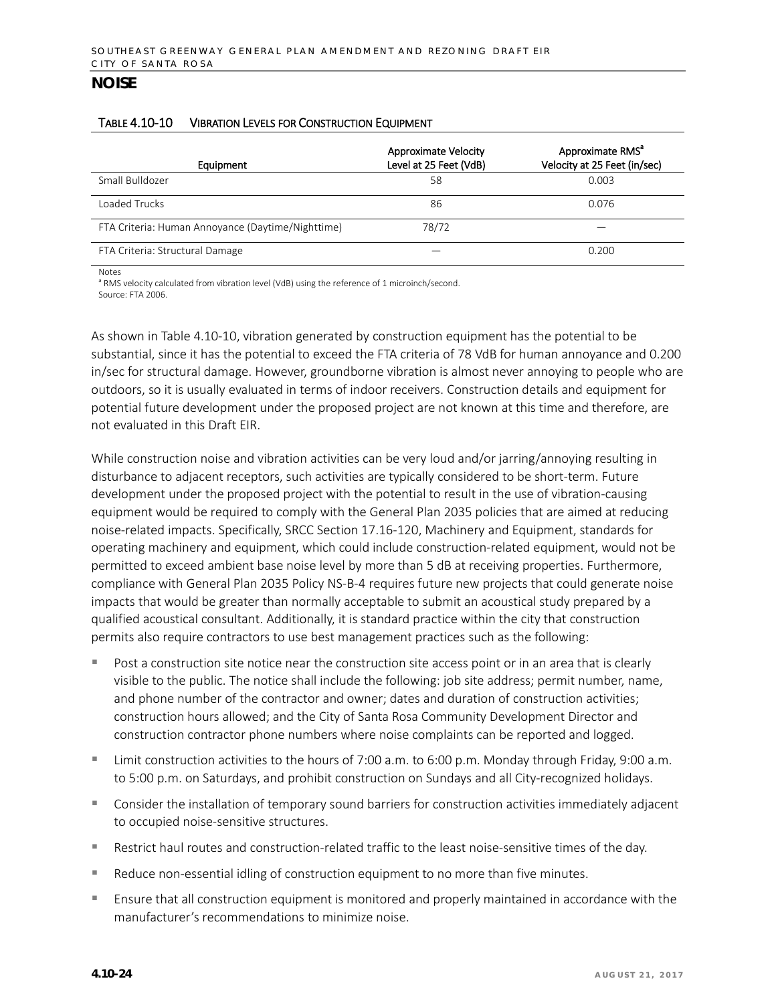#### TABLE 4.10-10 VIBRATION LEVELS FOR CONSTRUCTION EQUIPMENT

| Equipment                                         | <b>Approximate Velocity</b><br>Level at 25 Feet (VdB) | Approximate RMS <sup>a</sup><br>Velocity at 25 Feet (in/sec) |
|---------------------------------------------------|-------------------------------------------------------|--------------------------------------------------------------|
| Small Bulldozer                                   | 58                                                    | 0.003                                                        |
| Loaded Trucks                                     | 86                                                    | 0.076                                                        |
| FTA Criteria: Human Annoyance (Daytime/Nighttime) | 78/72                                                 |                                                              |
| FTA Criteria: Structural Damage                   |                                                       | 0.200                                                        |

Notes

<sup>a</sup> RMS velocity calculated from vibration level (VdB) using the reference of 1 microinch/second. Source: FTA 2006.

As shown in Table 4.10-10, vibration generated by construction equipment has the potential to be substantial, since it has the potential to exceed the FTA criteria of 78 VdB for human annoyance and 0.200 in/sec for structural damage. However, groundborne vibration is almost never annoying to people who are outdoors, so it is usually evaluated in terms of indoor receivers. Construction details and equipment for potential future development under the proposed project are not known at this time and therefore, are not evaluated in this Draft EIR.

While construction noise and vibration activities can be very loud and/or jarring/annoying resulting in disturbance to adjacent receptors, such activities are typically considered to be short-term. Future development under the proposed project with the potential to result in the use of vibration-causing equipment would be required to comply with the General Plan 2035 policies that are aimed at reducing noise-related impacts. Specifically, SRCC Section 17.16-120, Machinery and Equipment, standards for operating machinery and equipment, which could include construction-related equipment, would not be permitted to exceed ambient base noise level by more than 5 dB at receiving properties. Furthermore, compliance with General Plan 2035 Policy NS-B-4 requires future new projects that could generate noise impacts that would be greater than normally acceptable to submit an acoustical study prepared by a qualified acoustical consultant. Additionally, it is standard practice within the city that construction permits also require contractors to use best management practices such as the following:

- Post a construction site notice near the construction site access point or in an area that is clearly visible to the public. The notice shall include the following: job site address; permit number, name, and phone number of the contractor and owner; dates and duration of construction activities; construction hours allowed; and the City of Santa Rosa Community Development Director and construction contractor phone numbers where noise complaints can be reported and logged.
- Limit construction activities to the hours of 7:00 a.m. to 6:00 p.m. Monday through Friday, 9:00 a.m. to 5:00 p.m. on Saturdays, and prohibit construction on Sundays and all City-recognized holidays.
- Consider the installation of temporary sound barriers for construction activities immediately adjacent to occupied noise-sensitive structures.
- Restrict haul routes and construction-related traffic to the least noise-sensitive times of the day.
- Reduce non-essential idling of construction equipment to no more than five minutes.
- Ensure that all construction equipment is monitored and properly maintained in accordance with the manufacturer's recommendations to minimize noise.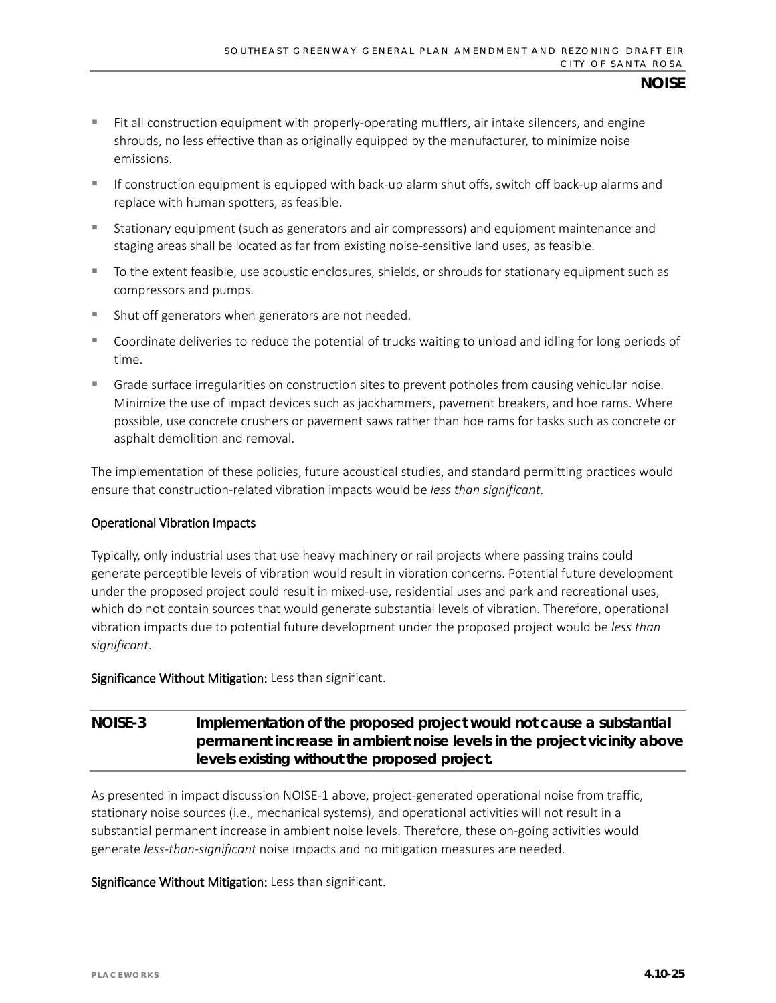- $\blacksquare$  Fit all construction equipment with properly-operating mufflers, air intake silencers, and engine shrouds, no less effective than as originally equipped by the manufacturer, to minimize noise emissions.
- $\blacksquare$  If construction equipment is equipped with back-up alarm shut offs, switch off back-up alarms and replace with human spotters, as feasible.
- Stationary equipment (such as generators and air compressors) and equipment maintenance and staging areas shall be located as far from existing noise-sensitive land uses, as feasible.
- To the extent feasible, use acoustic enclosures, shields, or shrouds for stationary equipment such as compressors and pumps.
- Shut off generators when generators are not needed.
- Coordinate deliveries to reduce the potential of trucks waiting to unload and idling for long periods of time.
- Grade surface irregularities on construction sites to prevent potholes from causing vehicular noise. Minimize the use of impact devices such as jackhammers, pavement breakers, and hoe rams. Where possible, use concrete crushers or pavement saws rather than hoe rams for tasks such as concrete or asphalt demolition and removal.

The implementation of these policies, future acoustical studies, and standard permitting practices would ensure that construction-related vibration impacts would be *less than significant*.

#### Operational Vibration Impacts

Typically, only industrial uses that use heavy machinery or rail projects where passing trains could generate perceptible levels of vibration would result in vibration concerns. Potential future development under the proposed project could result in mixed-use, residential uses and park and recreational uses, which do not contain sources that would generate substantial levels of vibration. Therefore, operational vibration impacts due to potential future development under the proposed project would be *less than significant*.

#### Significance Without Mitigation: Less than significant.

## **NOISE-3 Implementation of the proposed project would not cause a substantial permanent increase in ambient noise levels in the project vicinity above levels existing without the proposed project.**

As presented in impact discussion NOISE-1 above, project-generated operational noise from traffic, stationary noise sources (i.e., mechanical systems), and operational activities will not result in a substantial permanent increase in ambient noise levels. Therefore, these on-going activities would generate *less-than-significant* noise impacts and no mitigation measures are needed.

Significance Without Mitigation: Less than significant.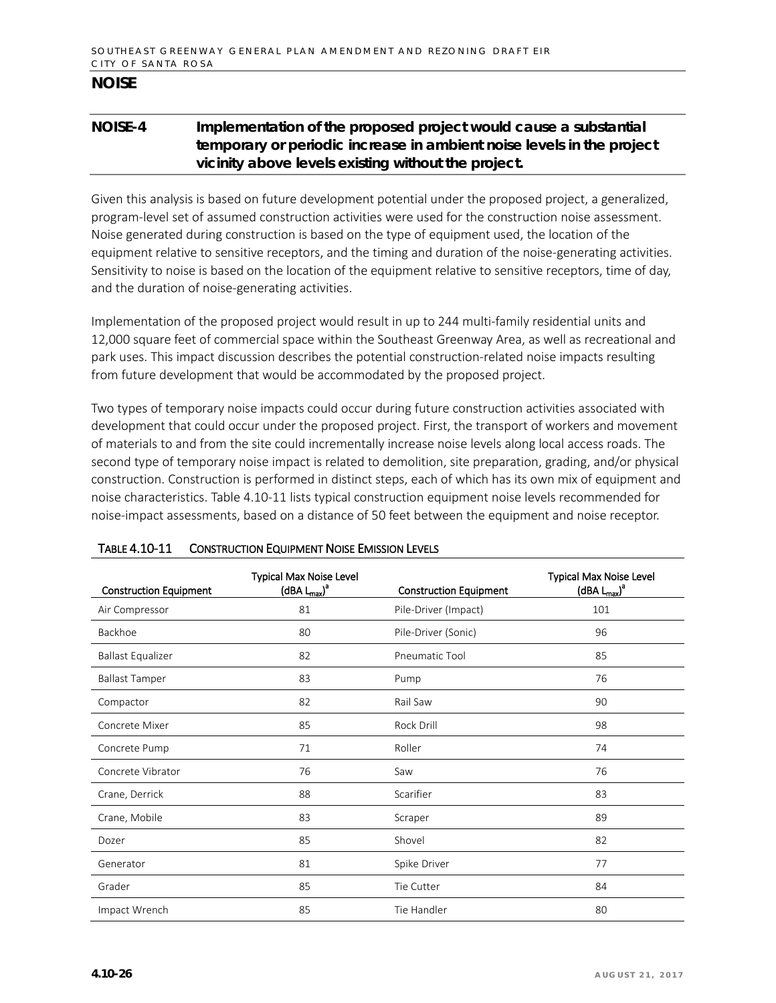## **NOISE-4 Implementation of the proposed project would cause a substantial temporary or periodic increase in ambient noise levels in the project vicinity above levels existing without the project.**

Given this analysis is based on future development potential under the proposed project, a generalized, program-level set of assumed construction activities were used for the construction noise assessment. Noise generated during construction is based on the type of equipment used, the location of the equipment relative to sensitive receptors, and the timing and duration of the noise-generating activities. Sensitivity to noise is based on the location of the equipment relative to sensitive receptors, time of day, and the duration of noise-generating activities.

Implementation of the proposed project would result in up to 244 multi-family residential units and 12,000 square feet of commercial space within the Southeast Greenway Area, as well as recreational and park uses. This impact discussion describes the potential construction-related noise impacts resulting from future development that would be accommodated by the proposed project.

Two types of temporary noise impacts could occur during future construction activities associated with development that could occur under the proposed project. First, the transport of workers and movement of materials to and from the site could incrementally increase noise levels along local access roads. The second type of temporary noise impact is related to demolition, site preparation, grading, and/or physical construction. Construction is performed in distinct steps, each of which has its own mix of equipment and noise characteristics. Table 4.10-11 lists typical construction equipment noise levels recommended for noise-impact assessments, based on a distance of 50 feet between the equipment and noise receptor.

| <b>Construction Equipment</b> | <b>Typical Max Noise Level</b><br>$(dBA L_{max})^a$ | <b>Construction Equipment</b> | <b>Typical Max Noise Level</b><br>$(dBA L_{max})^a$ |
|-------------------------------|-----------------------------------------------------|-------------------------------|-----------------------------------------------------|
| Air Compressor                | 81                                                  | Pile-Driver (Impact)          | 101                                                 |
| Backhoe                       | 80                                                  | Pile-Driver (Sonic)           | 96                                                  |
| <b>Ballast Equalizer</b>      | 82                                                  | Pneumatic Tool                | 85                                                  |
| <b>Ballast Tamper</b>         | 83                                                  | Pump                          | 76                                                  |
| Compactor                     | 82                                                  | Rail Saw                      | 90                                                  |
| Concrete Mixer                | 85                                                  | Rock Drill                    | 98                                                  |
| Concrete Pump                 | 71                                                  | Roller                        | 74                                                  |
| Concrete Vibrator             | 76                                                  | Saw                           | 76                                                  |
| Crane, Derrick                | 88                                                  | Scarifier                     | 83                                                  |
| Crane, Mobile                 | 83                                                  | Scraper                       | 89                                                  |
| Dozer                         | 85                                                  | Shovel                        | 82                                                  |
| Generator                     | 81                                                  | Spike Driver                  | 77                                                  |
| Grader                        | 85                                                  | Tie Cutter                    | 84                                                  |
| Impact Wrench                 | 85                                                  | Tie Handler                   | 80                                                  |

#### TABLE 4.10-11 CONSTRUCTION EQUIPMENT NOISE EMISSION LEVELS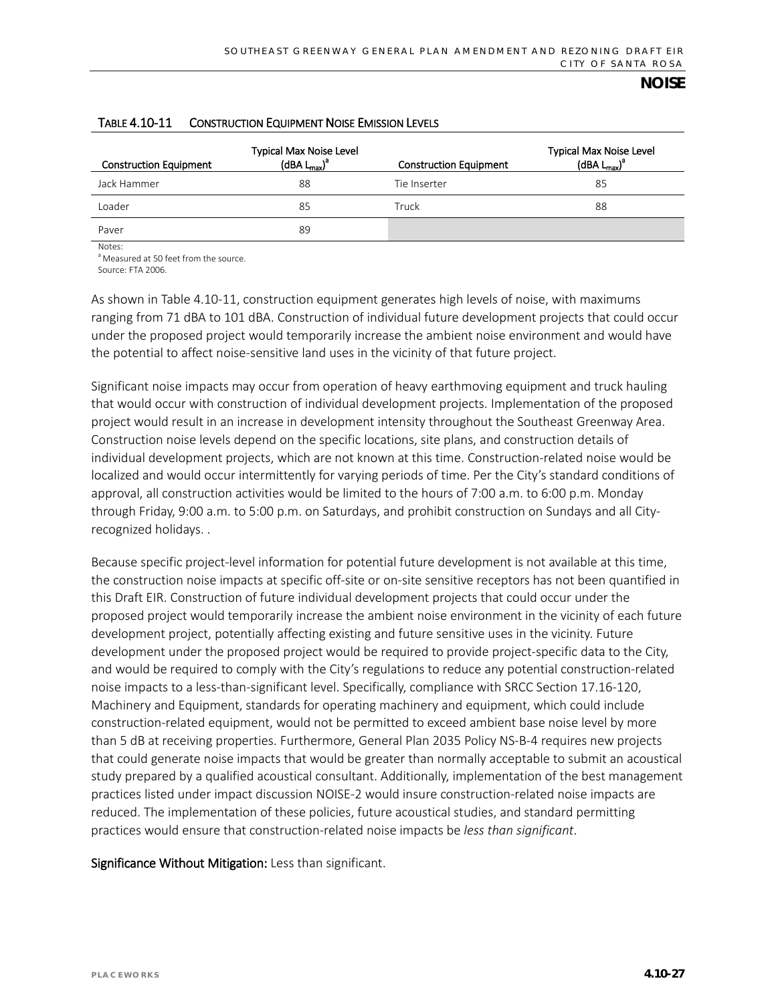| <b>Construction Equipment</b> | <b>Typical Max Noise Level</b><br>$(dBA L_{max})^a$ | <b>Construction Equipment</b> | <b>Typical Max Noise Level</b><br>$(dBA L_{max})^a$ |
|-------------------------------|-----------------------------------------------------|-------------------------------|-----------------------------------------------------|
| Jack Hammer                   | 88                                                  | Tie Inserter                  | 85                                                  |
| Loader                        | 85                                                  | Truck                         | 88                                                  |
| Paver                         | 89                                                  |                               |                                                     |

#### TABLE 4.10-11 CONSTRUCTION EQUIPMENT NOISE EMISSION LEVELS

Notes: <sup>a</sup> Measured at 50 feet from the source.

Source: FTA 2006.

As shown in Table 4.10-11, construction equipment generates high levels of noise, with maximums ranging from 71 dBA to 101 dBA. Construction of individual future development projects that could occur under the proposed project would temporarily increase the ambient noise environment and would have the potential to affect noise-sensitive land uses in the vicinity of that future project.

Significant noise impacts may occur from operation of heavy earthmoving equipment and truck hauling that would occur with construction of individual development projects. Implementation of the proposed project would result in an increase in development intensity throughout the Southeast Greenway Area. Construction noise levels depend on the specific locations, site plans, and construction details of individual development projects, which are not known at this time. Construction-related noise would be localized and would occur intermittently for varying periods of time. Per the City's standard conditions of approval, all construction activities would be limited to the hours of 7:00 a.m. to 6:00 p.m. Monday through Friday, 9:00 a.m. to 5:00 p.m. on Saturdays, and prohibit construction on Sundays and all Cityrecognized holidays. .

Because specific project-level information for potential future development is not available at this time, the construction noise impacts at specific off-site or on-site sensitive receptors has not been quantified in this Draft EIR. Construction of future individual development projects that could occur under the proposed project would temporarily increase the ambient noise environment in the vicinity of each future development project, potentially affecting existing and future sensitive uses in the vicinity. Future development under the proposed project would be required to provide project-specific data to the City, and would be required to comply with the City's regulations to reduce any potential construction-related noise impacts to a less-than-significant level. Specifically, compliance with SRCC Section 17.16-120, Machinery and Equipment, standards for operating machinery and equipment, which could include construction-related equipment, would not be permitted to exceed ambient base noise level by more than 5 dB at receiving properties. Furthermore, General Plan 2035 Policy NS-B-4 requires new projects that could generate noise impacts that would be greater than normally acceptable to submit an acoustical study prepared by a qualified acoustical consultant. Additionally, implementation of the best management practices listed under impact discussion NOISE-2 would insure construction-related noise impacts are reduced. The implementation of these policies, future acoustical studies, and standard permitting practices would ensure that construction-related noise impacts be *less than significant*.

Significance Without Mitigation: Less than significant.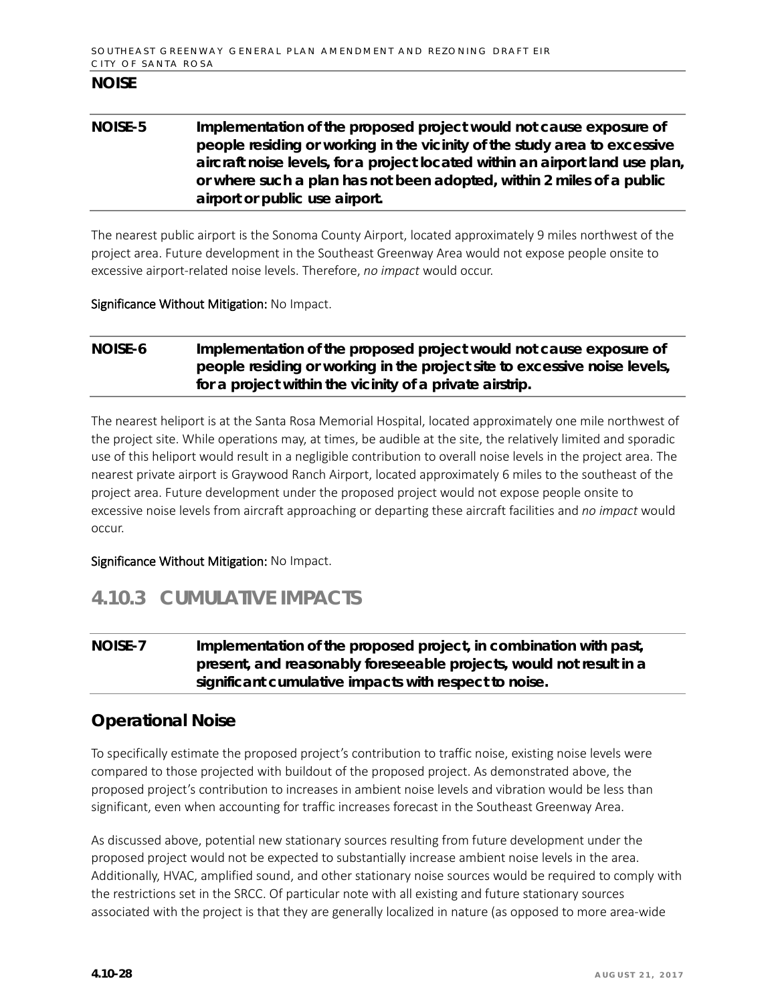## **NOISE-5 Implementation of the proposed project would not cause exposure of people residing or working in the vicinity of the study area to excessive aircraft noise levels, for a project located within an airport land use plan, or where such a plan has not been adopted, within 2 miles of a public airport or public use airport.**

The nearest public airport is the Sonoma County Airport, located approximately 9 miles northwest of the project area. Future development in the Southeast Greenway Area would not expose people onsite to excessive airport-related noise levels. Therefore, *no impact* would occur.

#### Significance Without Mitigation: No Impact.

## **NOISE-6 Implementation of the proposed project would not cause exposure of people residing or working in the project site to excessive noise levels, for a project within the vicinity of a private airstrip.**

The nearest heliport is at the Santa Rosa Memorial Hospital, located approximately one mile northwest of the project site. While operations may, at times, be audible at the site, the relatively limited and sporadic use of this heliport would result in a negligible contribution to overall noise levels in the project area. The nearest private airport is Graywood Ranch Airport, located approximately 6 miles to the southeast of the project area. Future development under the proposed project would not expose people onsite to excessive noise levels from aircraft approaching or departing these aircraft facilities and *no impact* would occur.

### Significance Without Mitigation: No Impact.

# **4.10.3 CUMULATIVE IMPACTS**

## **NOISE-7 Implementation of the proposed project, in combination with past, present, and reasonably foreseeable projects, would not result in a significant cumulative impacts with respect to noise.**

## **Operational Noise**

To specifically estimate the proposed project's contribution to traffic noise, existing noise levels were compared to those projected with buildout of the proposed project. As demonstrated above, the proposed project's contribution to increases in ambient noise levels and vibration would be less than significant, even when accounting for traffic increases forecast in the Southeast Greenway Area.

As discussed above, potential new stationary sources resulting from future development under the proposed project would not be expected to substantially increase ambient noise levels in the area. Additionally, HVAC, amplified sound, and other stationary noise sources would be required to comply with the restrictions set in the SRCC. Of particular note with all existing and future stationary sources associated with the project is that they are generally localized in nature (as opposed to more area-wide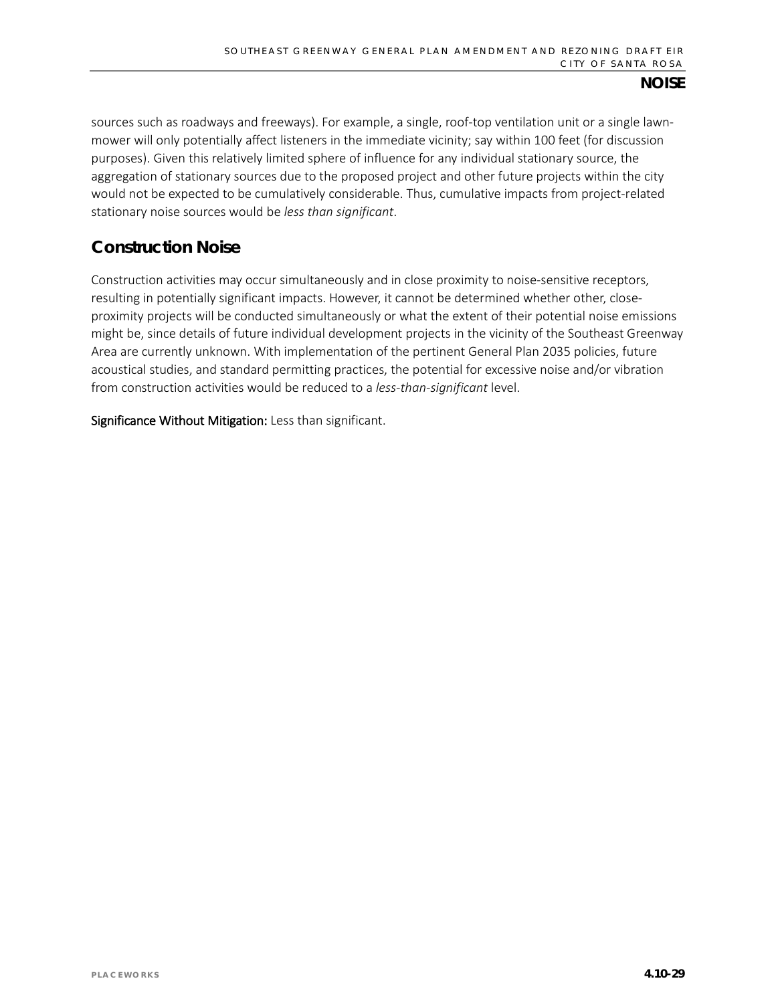sources such as roadways and freeways). For example, a single, roof-top ventilation unit or a single lawnmower will only potentially affect listeners in the immediate vicinity; say within 100 feet (for discussion purposes). Given this relatively limited sphere of influence for any individual stationary source, the aggregation of stationary sources due to the proposed project and other future projects within the city would not be expected to be cumulatively considerable. Thus, cumulative impacts from project-related stationary noise sources would be *less than significant*.

## **Construction Noise**

Construction activities may occur simultaneously and in close proximity to noise-sensitive receptors, resulting in potentially significant impacts. However, it cannot be determined whether other, closeproximity projects will be conducted simultaneously or what the extent of their potential noise emissions might be, since details of future individual development projects in the vicinity of the Southeast Greenway Area are currently unknown. With implementation of the pertinent General Plan 2035 policies, future acoustical studies, and standard permitting practices, the potential for excessive noise and/or vibration from construction activities would be reduced to a *less-than-significant* level.

Significance Without Mitigation: Less than significant.